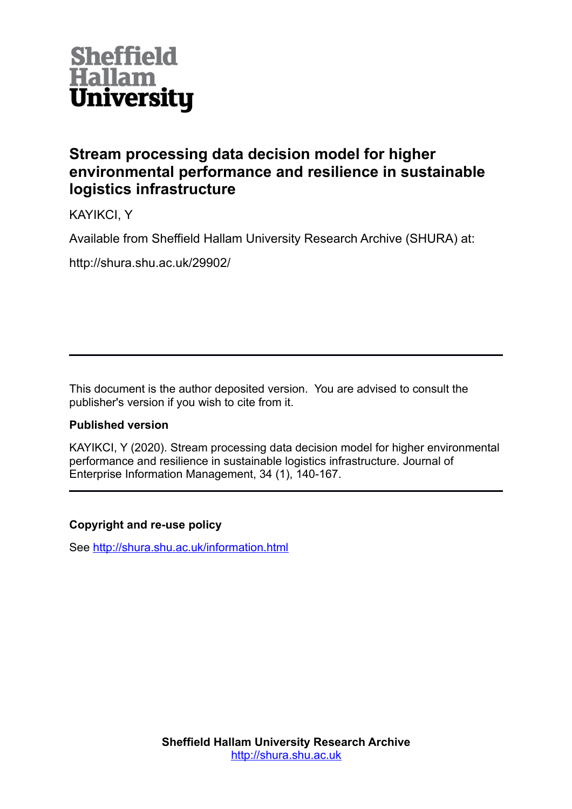

# **Stream processing data decision model for higher environmental performance and resilience in sustainable logistics infrastructure**

KAYIKCI, Y

Available from Sheffield Hallam University Research Archive (SHURA) at:

http://shura.shu.ac.uk/29902/

This document is the author deposited version. You are advised to consult the publisher's version if you wish to cite from it.

# **Published version**

KAYIKCI, Y (2020). Stream processing data decision model for higher environmental performance and resilience in sustainable logistics infrastructure. Journal of Enterprise Information Management, 34 (1), 140-167.

# **Copyright and re-use policy**

See<http://shura.shu.ac.uk/information.html>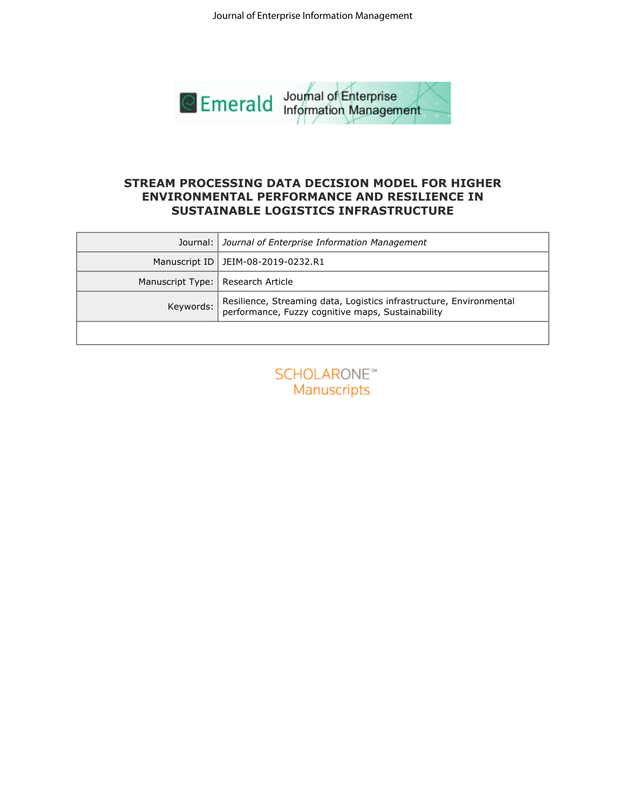

# **ENVIRONMENTAL PERFORMANCE AND RESILIENCE IN SUSTAINABLE LOGISTICS INFRASTRUCTURE**

|                               | <b>STREAM PROCESSING DATA DECISION MODEL FOR HIGHER</b><br><b>ENVIRONMENTAL PERFORMANCE AND RESILIENCE IN</b><br>SUSTAINABLE LOGISTICS INFRASTRUCTURE |
|-------------------------------|-------------------------------------------------------------------------------------------------------------------------------------------------------|
| Journal:                      | Journal of Enterprise Information Management                                                                                                          |
| Manuscript ID                 | JEIM-08-2019-0232.R1                                                                                                                                  |
| Manuscript Type:<br>Keywords: | Research Article<br>Resilience, Streaming data, Logistics infrastructure, Environmental<br>performance, Fuzzy cognitive maps, Sustainability          |
|                               |                                                                                                                                                       |
|                               |                                                                                                                                                       |

| <b>SCHOLARONE™</b> |             |  |  |
|--------------------|-------------|--|--|
|                    | Manuscripts |  |  |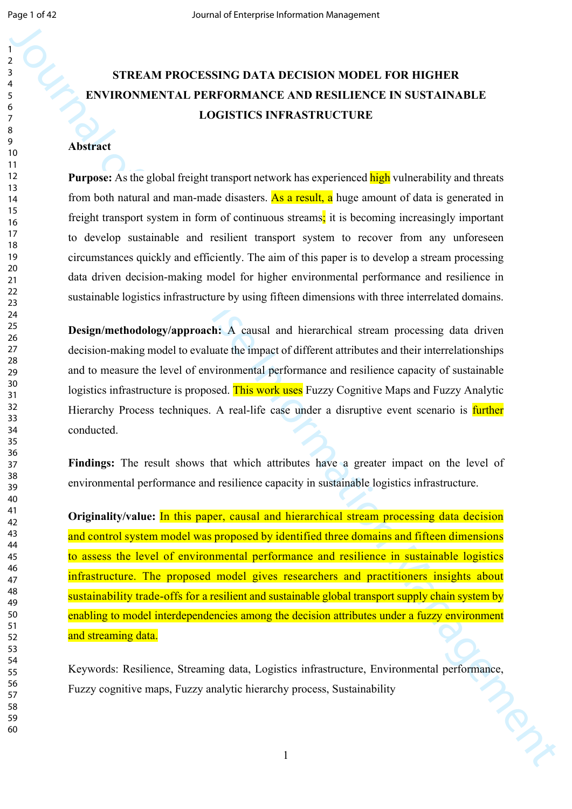# **STREAM PROCESSING DATA DECISION MODEL FOR HIGHER ENVIRONMENTAL PERFORMANCE AND RESILIENCE IN SUSTAINABLE LOGISTICS INFRASTRUCTURE**

### **Abstract**

**Purpose:** As the global freight transport network has experienced **high** vulnerability and threats from both natural and man-made disasters. As a result, a huge amount of data is generated in freight transport system in form of continuous streams; it is becoming increasingly important to develop sustainable and resilient transport system to recover from any unforeseen circumstances quickly and efficiently. The aim of this paper is to develop a stream processing data driven decision-making model for higher environmental performance and resilience in sustainable logistics infrastructure by using fifteen dimensions with three interrelated domains.

**Design/methodology/approach:** A causal and hierarchical stream processing data driven decision-making model to evaluate the impact of different attributes and their interrelationships and to measure the level of environmental performance and resilience capacity of sustainable logistics infrastructure is proposed. This work uses Fuzzy Cognitive Maps and Fuzzy Analytic Hierarchy Process techniques. A real-life case under a disruptive event scenario is **further** conducted.

Findings: The result shows that which attributes have a greater impact on the level of environmental performance and resilience capacity in sustainable logistics infrastructure.

STREAM PROCESSING DATA DECISION MODEL FOR DESTRAINABLE<br>
ENTERCAM PROCESSING DATA DECISION MODEL FOR ISTEMANELE<br>
LOGISTICS INFRASTRUCTURE<br>
THEORETICS INFRASTRUCTURE<br>
THEORETICS INFRASTRUCTURE<br>
THEORETICS INFRASTRUCTURE<br>
Th **Originality/value:** In this paper, causal and hierarchical stream processing data decision and control system model was proposed by identified three domains and fifteen dimensions to assess the level of environmental performance and resilience in sustainable logistics infrastructure. The proposed model gives researchers and practitioners insights about sustainability trade-offs for a resilient and sustainable global transport supply chain system by enabling to model interdependencies among the decision attributes under a fuzzy environment and streaming data.

Keywords: Resilience, Streaming data, Logistics infrastructure, Environmental performance, Fuzzy cognitive maps, Fuzzy analytic hierarchy process, Sustainability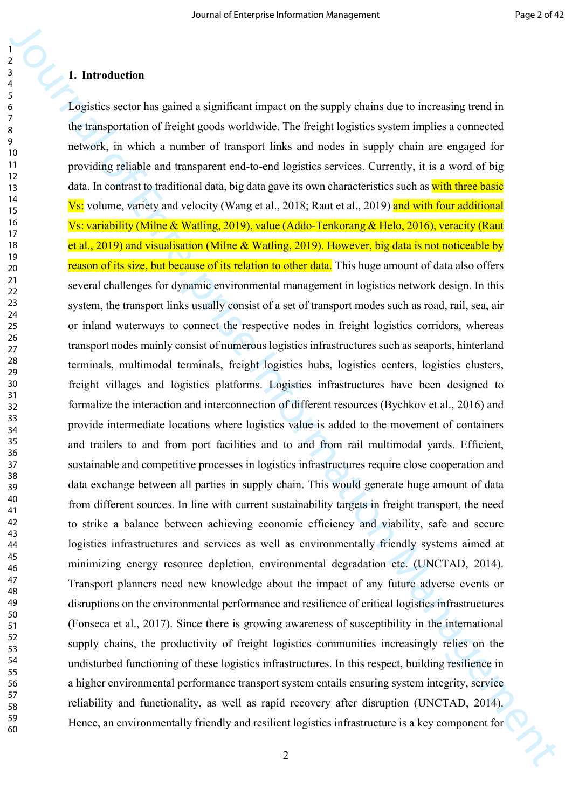#### **1. Introduction**

**1.**<br> **Interaction of Enterprise Interaction** in the supply channotine to investing the continue of the subset of the subset of the subset of the subset of the subset of the subset of the subset of the subset of the subse Logistics sector has gained a significant impact on the supply chains due to increasing trend in the transportation of freight goods worldwide. The freight logistics system implies a connected network, in which a number of transport links and nodes in supply chain are engaged for providing reliable and transparent end-to-end logistics services. Currently, it is a word of big data. In contrast to traditional data, big data gave its own characteristics such as with three basic Vs: volume, variety and velocity (Wang et al., 2018; Raut et al., 2019) and with four additional Vs: variability (Milne & Watling, 2019), value (Addo-Tenkorang & Helo, 2016), veracity (Raut et al., 2019) and visualisation (Milne & Watling, 2019). However, big data is not noticeable by reason of its size, but because of its relation to other data. This huge amount of data also offers several challenges for dynamic environmental management in logistics network design. In this system, the transport links usually consist of a set of transport modes such as road, rail, sea, air or inland waterways to connect the respective nodes in freight logistics corridors, whereas transport nodes mainly consist of numerous logistics infrastructures such as seaports, hinterland terminals, multimodal terminals, freight logistics hubs, logistics centers, logistics clusters, freight villages and logistics platforms. Logistics infrastructures have been designed to formalize the interaction and interconnection of different resources (Bychkov et al., 2016) and provide intermediate locations where logistics value is added to the movement of containers and trailers to and from port facilities and to and from rail multimodal yards. Efficient, sustainable and competitive processes in logistics infrastructures require close cooperation and data exchange between all parties in supply chain. This would generate huge amount of data from different sources. In line with current sustainability targets in freight transport, the need to strike a balance between achieving economic efficiency and viability, safe and secure logistics infrastructures and services as well as environmentally friendly systems aimed at minimizing energy resource depletion, environmental degradation etc. (UNCTAD, 2014). Transport planners need new knowledge about the impact of any future adverse events or disruptions on the environmental performance and resilience of critical logistics infrastructures (Fonseca et al., 2017). Since there is growing awareness of susceptibility in the international supply chains, the productivity of freight logistics communities increasingly relies on the undisturbed functioning of these logistics infrastructures. In this respect, building resilience in a higher environmental performance transport system entails ensuring system integrity, service reliability and functionality, as well as rapid recovery after disruption (UNCTAD, 2014). Hence, an environmentally friendly and resilient logistics infrastructure is a key component for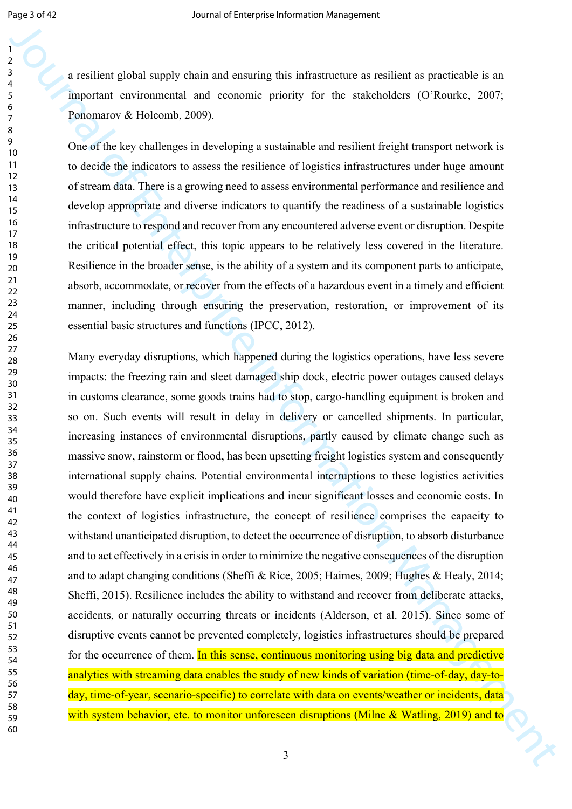a resilient global supply chain and ensuring this infrastructure as resilient as practicable is an important environmental and economic priority for the stakeholders (O'Rourke, 2007; Ponomarov & Holcomb, 2009).

One of the key challenges in developing a sustainable and resilient freight transport network is to decide the indicators to assess the resilience of logistics infrastructures under huge amount of stream data. There is a growing need to assess environmental performance and resilience and develop appropriate and diverse indicators to quantify the readiness of a sustainable logistics infrastructure to respond and recover from any encountered adverse event or disruption. Despite the critical potential effect, this topic appears to be relatively less covered in the literature. Resilience in the broader sense, is the ability of a system and its component parts to anticipate, absorb, accommodate, or recover from the effects of a hazardous event in a timely and efficient manner, including through ensuring the preservation, restoration, or improvement of its essential basic structures and functions (IPCC, 2012).

**Example 10**<br> **Example 10**<br> **Example 10** and consumer and consumer is in infra-instant as received as practicable is an **Photon Consumer and consumer and consumer** and consumer and consumer and consumer and consumer and c Many everyday disruptions, which happened during the logistics operations, have less severe impacts: the freezing rain and sleet damaged ship dock, electric power outages caused delays in customs clearance, some goods trains had to stop, cargo-handling equipment is broken and so on. Such events will result in delay in delivery or cancelled shipments. In particular, increasing instances of environmental disruptions, partly caused by climate change such as massive snow, rainstorm or flood, has been upsetting freight logistics system and consequently international supply chains. Potential environmental interruptions to these logistics activities would therefore have explicit implications and incur significant losses and economic costs. In the context of logistics infrastructure, the concept of resilience comprises the capacity to withstand unanticipated disruption, to detect the occurrence of disruption, to absorb disturbance and to act effectively in a crisis in order to minimize the negative consequences of the disruption and to adapt changing conditions (Sheffi & Rice, 2005; Haimes, 2009; Hughes & Healy, 2014; Sheffi, 2015). Resilience includes the ability to withstand and recover from deliberate attacks, accidents, or naturally occurring threats or incidents (Alderson, et al. 2015). Since some of disruptive events cannot be prevented completely, logistics infrastructures should be prepared for the occurrence of them. In this sense, continuous monitoring using big data and predictive analytics with streaming data enables the study of new kinds of variation (time-of-day, day-today, time-of-year, scenario-specific) to correlate with data on events/weather or incidents, data with system behavior, etc. to monitor unforeseen disruptions (Milne  $\&$  Watling, 2019) and to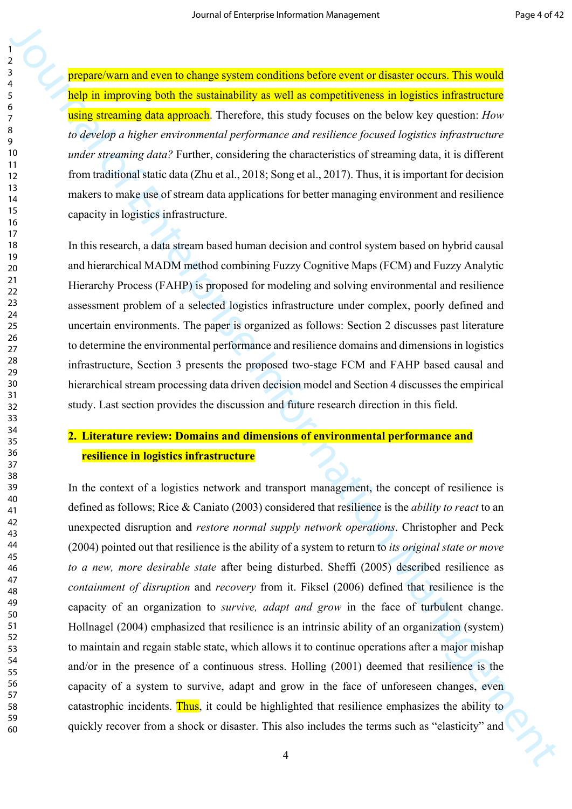prepare/warn and even to change system conditions before event or disaster occurs. This would help in improving both the sustainability as well as competitiveness in logistics infrastructure using streaming data approach. Therefore, this study focuses on the below key question: *How to develop a higher environmental performance and resilience focused logistics infrastructure under streaming data?* Further, considering the characteristics of streaming data, it is different from traditional static data (Zhu et al., 2018; Song et al., 2017). Thus, it is important for decision makers to make use of stream data applications for better managing environment and resilience capacity in logistics infrastructure.

In this research, a data stream based human decision and control system based on hybrid causal and hierarchical MADM method combining Fuzzy Cognitive Maps (FCM) and Fuzzy Analytic Hierarchy Process (FAHP) is proposed for modeling and solving environmental and resilience assessment problem of a selected logistics infrastructure under complex, poorly defined and uncertain environments. The paper is organized as follows: Section 2 discusses past literature to determine the environmental performance and resilience domains and dimensions in logistics infrastructure, Section 3 presents the proposed two-stage FCM and FAHP based causal and hierarchical stream processing data driven decision model and Section 4 discusses the empirical study. Last section provides the discussion and future research direction in this field.

# **2. Literature review: Domains and dimensions of environmental performance and resilience in logistics infrastructure**

**During the main state is the main state of the main state is a simple to the main state is a simple of the main state of the main state is a simple of the main state of the main state is a simple of the main state is a s** In the context of a logistics network and transport management, the concept of resilience is defined as follows; Rice & Caniato (2003) considered that resilience is the *ability to react* to an unexpected disruption and *restore normal supply network operations*. Christopher and Peck (2004) pointed out that resilience is the ability of a system to return to *its original state or move to a new, more desirable state* after being disturbed. Sheffi (2005) described resilience as *containment of disruption* and *recovery* from it. Fiksel (2006) defined that resilience is the capacity of an organization to *survive, adapt and grow* in the face of turbulent change. Hollnagel (2004) emphasized that resilience is an intrinsic ability of an organization (system) to maintain and regain stable state, which allows it to continue operations after a major mishap and/or in the presence of a continuous stress. Holling (2001) deemed that resilience is the capacity of a system to survive, adapt and grow in the face of unforeseen changes, even catastrophic incidents. Thus, it could be highlighted that resilience emphasizes the ability to quickly recover from a shock or disaster. This also includes the terms such as "elasticity" and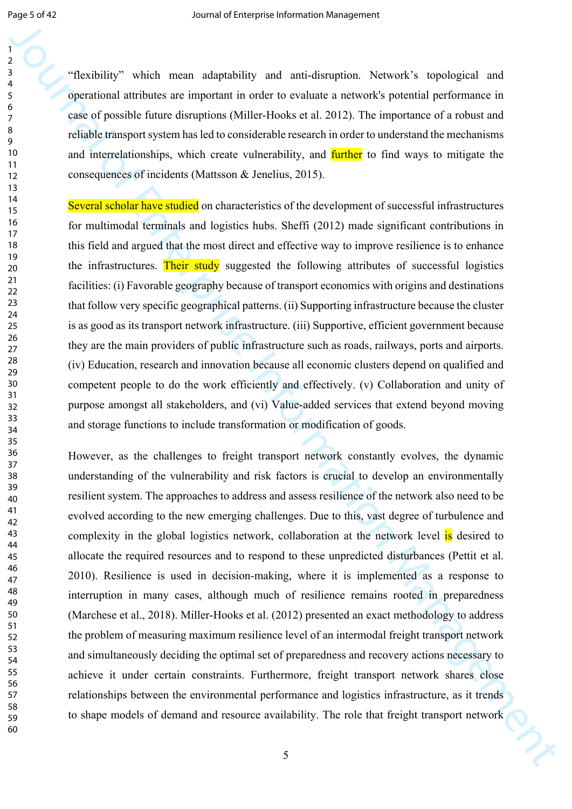"flexibility" which mean adaptability and anti-disruption. Network's topological and operational attributes are important in order to evaluate a network's potential performance in case of possible future disruptions (Miller-Hooks et al. 2012). The importance of a robust and reliable transport system has led to considerable research in order to understand the mechanisms and interrelationships, which create vulnerability, and **further** to find ways to mitigate the consequences of incidents (Mattsson & Jenelius, 2015).

Several scholar have studied on characteristics of the development of successful infrastructures for multimodal terminals and logistics hubs. Sheffi (2012) made significant contributions in this field and argued that the most direct and effective way to improve resilience is to enhance the infrastructures. Their study suggested the following attributes of successful logistics facilities: (i) Favorable geography because of transport economics with origins and destinations that follow very specific geographical patterns. (ii) Supporting infrastructure because the cluster is as good as its transport network infrastructure. (iii) Supportive, efficient government because they are the main providers of public infrastructure such as roads, railways, ports and airports. (iv) Education, research and innovation because all economic clusters depend on qualified and competent people to do the work efficiently and effectively. (v) Collaboration and unity of purpose amongst all stakeholders, and (vi) Value-added services that extend beyond moving and storage functions to include transformation or modification of goods.

<sup>2</sup><br>
The doiny" which mean adquabitity and anti-dimetrican. Network's teprological and<br>
23 organisation distance is inputical and in order to resolute a neconotic potential porticinanes in<br>
23 or of Anglis Statistical po However, as the challenges to freight transport network constantly evolves, the dynamic understanding of the vulnerability and risk factors is crucial to develop an environmentally resilient system. The approaches to address and assess resilience of the network also need to be evolved according to the new emerging challenges. Due to this, vast degree of turbulence and complexity in the global logistics network, collaboration at the network level is desired to allocate the required resources and to respond to these unpredicted disturbances (Pettit et al. 2010). Resilience is used in decision-making, where it is implemented as a response to interruption in many cases, although much of resilience remains rooted in preparedness (Marchese et al., 2018). Miller-Hooks et al. (2012) presented an exact methodology to address the problem of measuring maximum resilience level of an intermodal freight transport network and simultaneously deciding the optimal set of preparedness and recovery actions necessary to achieve it under certain constraints. Furthermore, freight transport network shares close relationships between the environmental performance and logistics infrastructure, as it trends to shape models of demand and resource availability. The role that freight transport network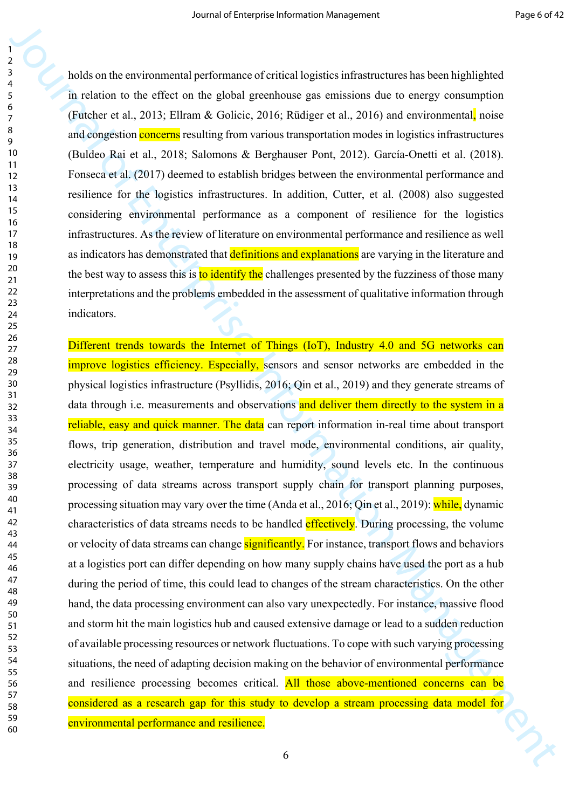holds on the environmental performance of critical logistics infrastructures has been highlighted in relation to the effect on the global greenhouse gas emissions due to energy consumption (Futcher et al., 2013; Ellram & Golicic, 2016; Rüdiger et al., 2016) and environmental, noise and congestion **concerns** resulting from various transportation modes in logistics infrastructures (Buldeo Rai et al., 2018; Salomons & Berghauser Pont, 2012). García-Onetti et al. (2018). Fonseca et al. (2017) deemed to establish bridges between the environmental performance and resilience for the logistics infrastructures. In addition, Cutter, et al. (2008) also suggested considering environmental performance as a component of resilience for the logistics infrastructures. As the review of literature on environmental performance and resilience as well as indicators has demonstrated that definitions and explanations are varying in the literature and the best way to assess this is to identify the challenges presented by the fuzziness of those many interpretations and the problems embedded in the assessment of qualitative information through indicators.

Journal of the measuremental per formation of the measuremental per formation of the measuremental per formation of the measuremental of the measuremental of the measuremental of the measuremental of the measuremental of Different trends towards the Internet of Things (IoT), Industry 4.0 and 5G networks can improve logistics efficiency. Especially, sensors and sensor networks are embedded in the physical logistics infrastructure (Psyllidis, 2016; Qin et al., 2019) and they generate streams of data through i.e. measurements and observations and deliver them directly to the system in a reliable, easy and quick manner. The data can report information in-real time about transport flows, trip generation, distribution and travel mode, environmental conditions, air quality, electricity usage, weather, temperature and humidity, sound levels etc. In the continuous processing of data streams across transport supply chain for transport planning purposes, processing situation may vary over the time (Anda et al., 2016; Qin et al., 2019): while, dynamic characteristics of data streams needs to be handled effectively. During processing, the volume or velocity of data streams can change significantly. For instance, transport flows and behaviors at a logistics port can differ depending on how many supply chains have used the port as a hub during the period of time, this could lead to changes of the stream characteristics. On the other hand, the data processing environment can also vary unexpectedly. For instance, massive flood and storm hit the main logistics hub and caused extensive damage or lead to a sudden reduction of available processing resources or network fluctuations. To cope with such varying processing situations, the need of adapting decision making on the behavior of environmental performance and resilience processing becomes critical. All those above-mentioned concerns can be considered as a research gap for this study to develop a stream processing data model for environmental performance and resilience.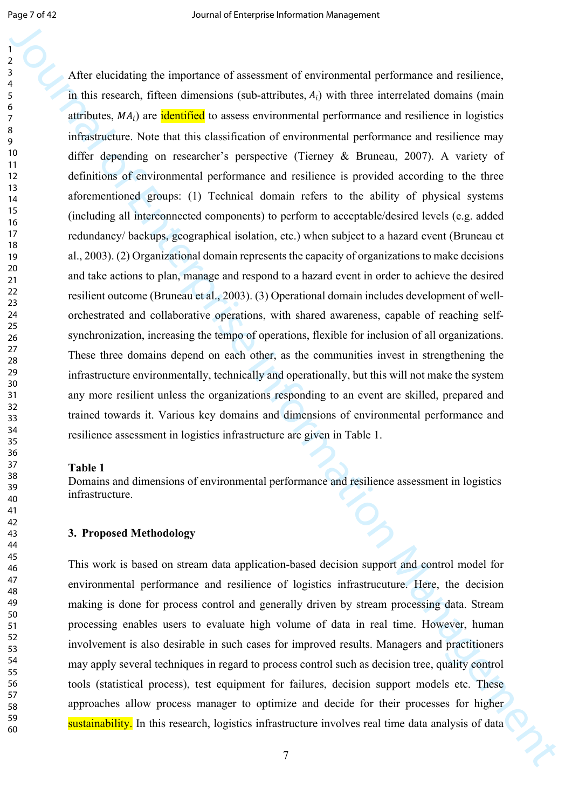3<br>
Alter checklaining the importance of someomet of consernential performance and resistence,<br>
3. Alter tesses and performation and statistical of the discontinue and resistence information of the statistical of the stati After elucidating the importance of assessment of environmental performance and resilience, in this research, fifteen dimensions (sub-attributes,  $A_i$ ) with three interrelated domains (main attributes,  $MA_i$ ) are identified to assess environmental performance and resilience in logistics infrastructure. Note that this classification of environmental performance and resilience may differ depending on researcher's perspective (Tierney & Bruneau, 2007). A variety of definitions of environmental performance and resilience is provided according to the three aforementioned groups: (1) Technical domain refers to the ability of physical systems (including all interconnected components) to perform to acceptable/desired levels (e.g. added redundancy/ backups, geographical isolation, etc.) when subject to a hazard event (Bruneau et al., 2003). (2) Organizational domain represents the capacity of organizations to make decisions and take actions to plan, manage and respond to a hazard event in order to achieve the desired resilient outcome (Bruneau et al., 2003). (3) Operational domain includes development of wellorchestrated and collaborative operations, with shared awareness, capable of reaching selfsynchronization, increasing the tempo of operations, flexible for inclusion of all organizations. These three domains depend on each other, as the communities invest in strengthening the infrastructure environmentally, technically and operationally, but this will not make the system any more resilient unless the organizations responding to an event are skilled, prepared and trained towards it. Various key domains and dimensions of environmental performance and resilience assessment in logistics infrastructure are given in Table 1.

#### **Table 1**

Domains and dimensions of environmental performance and resilience assessment in logistics infrastructure.

#### **3. Proposed Methodology**

This work is based on stream data application-based decision support and control model for environmental performance and resilience of logistics infrastrucuture. Here, the decision making is done for process control and generally driven by stream processing data. Stream processing enables users to evaluate high volume of data in real time. However, human involvement is also desirable in such cases for improved results. Managers and practitioners may apply several techniques in regard to process control such as decision tree, quality control tools (statistical process), test equipment for failures, decision support models etc. These approaches allow process manager to optimize and decide for their processes for higher sustainability. In this research, logistics infrastructure involves real time data analysis of data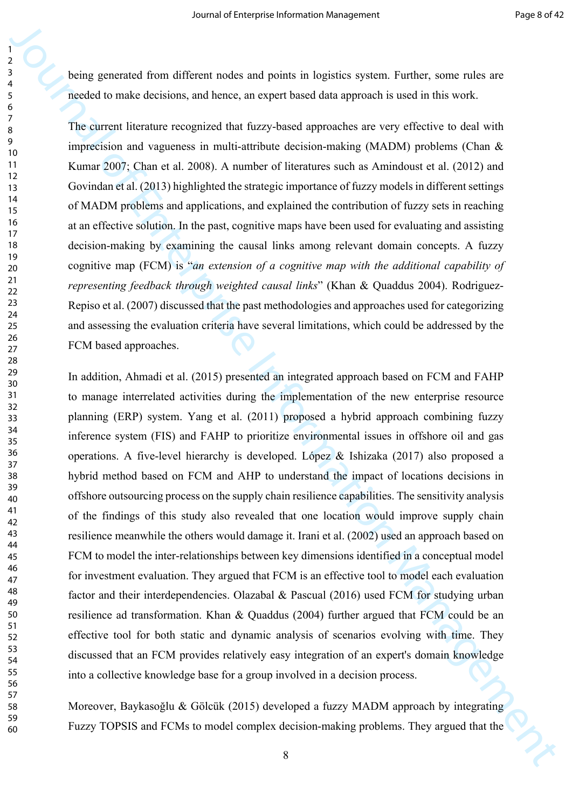being generated from different nodes and points in logistics system. Further, some rules are needed to make decisions, and hence, an expert based data approach is used in this work.

The current literature recognized that fuzzy-based approaches are very effective to deal with imprecision and vagueness in multi-attribute decision-making (MADM) problems (Chan & Kumar 2007; Chan et al. 2008). A number of literatures such as Amindoust et al. (2012) and Govindan et al. (2013) highlighted the strategic importance of fuzzy models in different settings of MADM problems and applications, and explained the contribution of fuzzy sets in reaching at an effective solution. In the past, cognitive maps have been used for evaluating and assisting decision-making by examining the causal links among relevant domain concepts. A fuzzy cognitive map (FCM) is "*an extension of a cognitive map with the additional capability of representing feedback through weighted causal links*" (Khan & Quaddus 2004). Rodriguez-Repiso et al. (2007) discussed that the past methodologies and approaches used for categorizing and assessing the evaluation criteria have several limitations, which could be addressed by the FCM based approaches.

19<br>
19<br>
19<br>
19 heing generated from different modes and princhs in hegistics system. Earther, some roles are<br>
necessarily from the mass cooperation of financial differences are cooperations and the secondary<br>
19 minimal In addition, Ahmadi et al. (2015) presented an integrated approach based on FCM and FAHP to manage interrelated activities during the implementation of the new enterprise resource planning (ERP) system. Yang et al. (2011) proposed a hybrid approach combining fuzzy inference system (FIS) and FAHP to prioritize environmental issues in offshore oil and gas operations. A five-level hierarchy is developed. López & Ishizaka (2017) also proposed a hybrid method based on FCM and AHP to understand the impact of locations decisions in offshore outsourcing process on the supply chain resilience capabilities. The sensitivity analysis of the findings of this study also revealed that one location would improve supply chain resilience meanwhile the others would damage it. Irani et al. (2002) used an approach based on FCM to model the inter-relationships between key dimensions identified in a conceptual model for investment evaluation. They argued that FCM is an effective tool to model each evaluation factor and their interdependencies. Olazabal & Pascual (2016) used FCM for studying urban resilience ad transformation. Khan & Quaddus (2004) further argued that FCM could be an effective tool for both static and dynamic analysis of scenarios evolving with time. They discussed that an FCM provides relatively easy integration of an expert's domain knowledge into a collective knowledge base for a group involved in a decision process.

Moreover, Baykasoğlu & Gölcük (2015) developed a fuzzy MADM approach by integrating Fuzzy TOPSIS and FCMs to model complex decision-making problems. They argued that the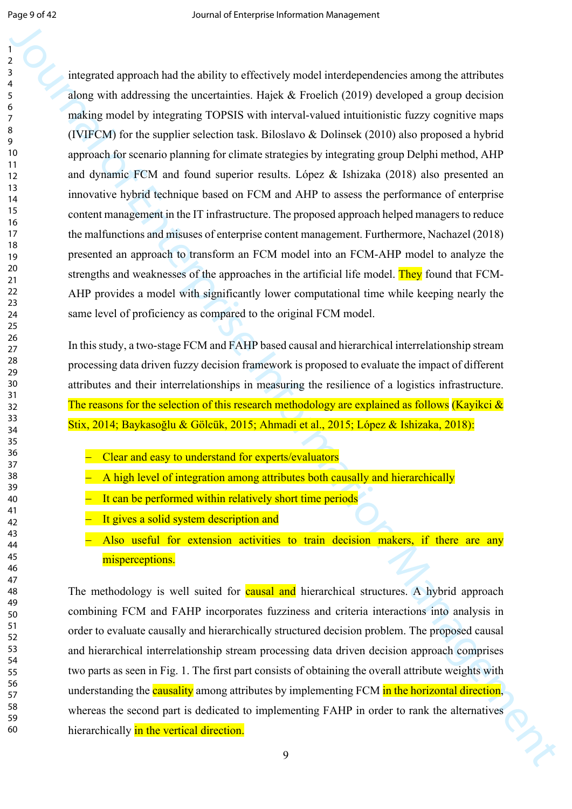3<br>
11 (interpretation and the unit-by the effectively readd interdependencies among the attitudes<br>
2016 (interpretation and substitute interdefectively and interdefectively a genuine of the enterprise Interdefectively an integrated approach had the ability to effectively model interdependencies among the attributes along with addressing the uncertainties. Hajek & Froelich (2019) developed a group decision making model by integrating TOPSIS with interval-valued intuitionistic fuzzy cognitive maps (IVIFCM) for the supplier selection task. Biloslavo & Dolinsek (2010) also proposed a hybrid approach for scenario planning for climate strategies by integrating group Delphi method, AHP and dynamic FCM and found superior results. López & Ishizaka (2018) also presented an innovative hybrid technique based on FCM and AHP to assess the performance of enterprise content management in the IT infrastructure. The proposed approach helped managers to reduce the malfunctions and misuses of enterprise content management. Furthermore, Nachazel (2018) presented an approach to transform an FCM model into an FCM-AHP model to analyze the strengths and weaknesses of the approaches in the artificial life model. They found that FCM-AHP provides a model with significantly lower computational time while keeping nearly the same level of proficiency as compared to the original FCM model.

In this study, a two-stage FCM and FAHP based causal and hierarchical interrelationship stream processing data driven fuzzy decision framework is proposed to evaluate the impact of different attributes and their interrelationships in measuring the resilience of a logistics infrastructure. The reasons for the selection of this research methodology are explained as follows (Kayikci  $\&$ Stix, 2014; Baykasoğlu & Gölcük, 2015; Ahmadi et al., 2015; López & Ishizaka, 2018):

- Clear and easy to understand for experts/evaluators
- A high level of integration among attributes both causally and hierarchically
- It can be performed within relatively short time periods
- It gives a solid system description and
- Also useful for extension activities to train decision makers, if there are any misperceptions.

The methodology is well suited for **causal and** hierarchical structures. A hybrid approach combining FCM and FAHP incorporates fuzziness and criteria interactions into analysis in order to evaluate causally and hierarchically structured decision problem. The proposed causal and hierarchical interrelationship stream processing data driven decision approach comprises two parts as seen in Fig. 1. The first part consists of obtaining the overall attribute weights with understanding the **causality** among attributes by implementing FCM in the horizontal direction, whereas the second part is dedicated to implementing FAHP in order to rank the alternatives hierarchically in the vertical direction.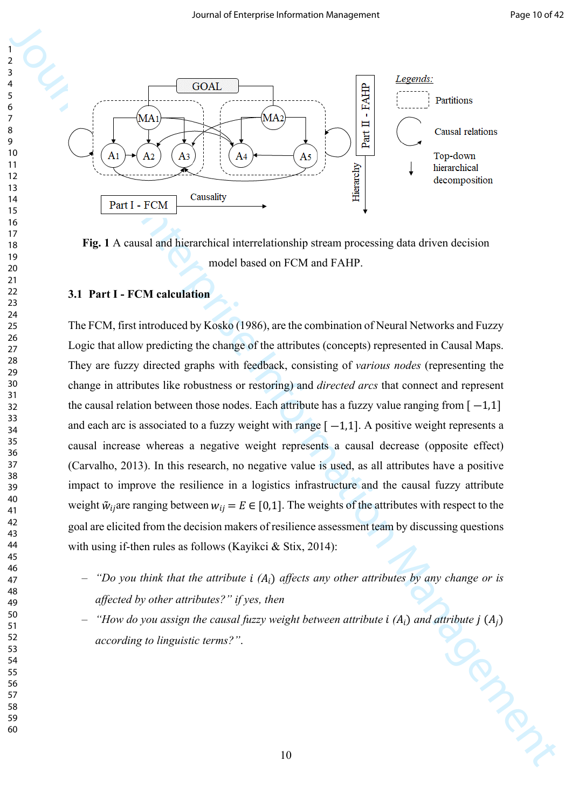

**Fig. 1** A causal and hierarchical interrelationship stream processing data driven decision model based on FCM and FAHP.

## **3.1 Part I - FCM calculation**

**Solution**<br> **Solution**<br> **B**<br> **Enterprise Interpretational of Enterprise Interpretational of Enterprise Interpretational<br>
<b>Fig. 1 A cause and interactional of Enterprise Interactional of the stress of the stress and the st** The FCM, first introduced by Kosko (1986), are the combination of Neural Networks and Fuzzy Logic that allow predicting the change of the attributes (concepts) represented in Causal Maps. They are fuzzy directed graphs with feedback, consisting of *various nodes* (representing the change in attributes like robustness or restoring) and *directed arcs* that connect and represent the causal relation between those nodes. Each attribute has a fuzzy value ranging from  $[-1,1]$ and each arc is associated to a fuzzy weight with range  $[-1,1]$ . A positive weight represents a causal increase whereas a negative weight represents a causal decrease (opposite effect) (Carvalho, 2013). In this research, no negative value is used, as all attributes have a positive impact to improve the resilience in a logistics infrastructure and the causal fuzzy attribute weight  $\tilde{w}_{ij}$  are ranging between  $w_{ij} = E \in [0,1]$ . The weights of the attributes with respect to the goal are elicited from the decision makers of resilience assessment team by discussing questions with using if-then rules as follows (Kayikci & Stix, 2014):

- $-$  *"Do you think that the attribute i (A<sub>i</sub>) affects any other attributes by any change or is affected by other attributes?" if yes, then*
- "*How do you assign the causal fuzzy weight between attribute*  $i(A_i)$  and attribute  $j(A_j)$ <br>according to linguistic terms?". *according to linguistic terms?"*.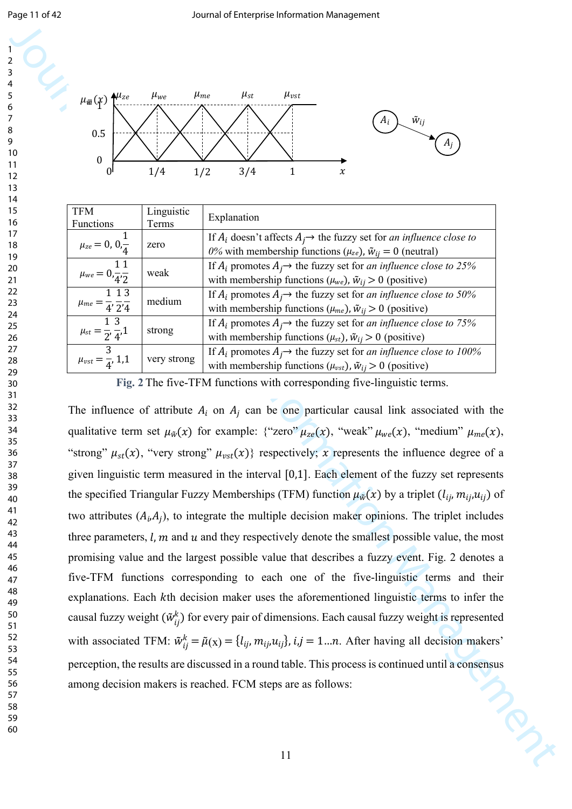

| <b>TFM</b><br>Functions                                     | Linguistic<br>Terms | Explanation                                                                                                                                                              |
|-------------------------------------------------------------|---------------------|--------------------------------------------------------------------------------------------------------------------------------------------------------------------------|
| $\mu_{ze} = 0, 0, \frac{\pi}{4}$                            | zero                | If $A_i$ doesn't affects $A_i \rightarrow$ the fuzzy set for <i>an influence close to</i><br>0% with membership functions ( $\mu_{ze}$ ), $\tilde{w}_{ij} = 0$ (neutral) |
| 11<br>$\mu_{we} = 0, -\frac{1}{4}, -\frac{1}{2}$            | weak                | If $A_i$ promotes $A_j \rightarrow$ the fuzzy set for <i>an influence close to 25%</i><br>with membership functions ( $\mu_{we}$ ), $\tilde{w}_{ij} > 0$ (positive)      |
| 1 1 3<br>$\mu_{me} = \frac{1}{4}, \frac{1}{2}, \frac{1}{4}$ | medium              | If $A_i$ promotes $A_i \rightarrow$ the fuzzy set for <i>an influence close to 50%</i><br>with membership functions ( $\mu_{me}$ ), $\tilde{w}_{ij} > 0$ (positive)      |
| 1 3<br>$\mu_{st} = \frac{1}{2}, \frac{1}{4}, 1$             | strong              | If $A_i$ promotes $A_i \rightarrow$ the fuzzy set for <i>an influence close to 75%</i><br>with membership functions ( $\mu_{st}$ ), $\tilde{w}_{ij} > 0$ (positive)      |
| 3<br>$\mu_{vst} = \frac{1}{4}$ , 1,1                        | very strong         | If $A_i$ promotes $A_i \rightarrow$ the fuzzy set for <i>an influence close to 100%</i><br>with membership functions ( $\mu_{vst}$ ), $\tilde{w}_{ij} > 0$ (positive)    |

**Fig. 2** The five-TFM functions with corresponding five-linguistic terms.

79 and 19 minimizing the summation of the state of the state of the state of the state of the state of the state of the state of the state of the state of the state of the state of the state of the state of the state of t The influence of attribute  $A_i$  on  $A_j$  can be one particular causal link associated with the qualitative term set  $\mu_{\tilde{w}}(x)$  for example: {"zero"  $\mu_{ze}(x)$ , "weak"  $\mu_{we}(x)$ , "medium"  $\mu_{me}(x)$ , "strong"  $\mu_{st}(x)$ , "very strong"  $\mu_{vst}(x)$ } respectively; x represents the influence degree of a given linguistic term measured in the interval  $[0,1]$ . Each element of the fuzzy set represents the specified Triangular Fuzzy Memberships (TFM) function  $\mu_{\tilde{w}}(x)$  by a triplet  $(l_{ij}, m_{ij}, u_{ij})$  of two attributes  $(A_i, A_j)$ , to integrate the multiple decision maker opinions. The triplet includes three parameters,  $l, m$  and  $u$  and they respectively denote the smallest possible value, the most promising value and the largest possible value that describes a fuzzy event. Fig. 2 denotes a five-TFM functions corresponding to each one of the five-linguistic terms and their explanations. Each kth decision maker uses the aforementioned linguistic terms to infer the causal fuzzy weight  $(\tilde{w}_{ij}^k)$  for every pair of dimensions. Each causal fuzzy weight is represented with associated TFM:  $\tilde{w}_{ij}^k = \tilde{\mu}(x) = \{l_{ij}, m_{ij}, u_{ij}\}, i, j = 1...n$ . After having all decision makers' perception, the results are discussed in a round table. This process is continued until a consensus among decision makers is reached. FCM steps are as follows: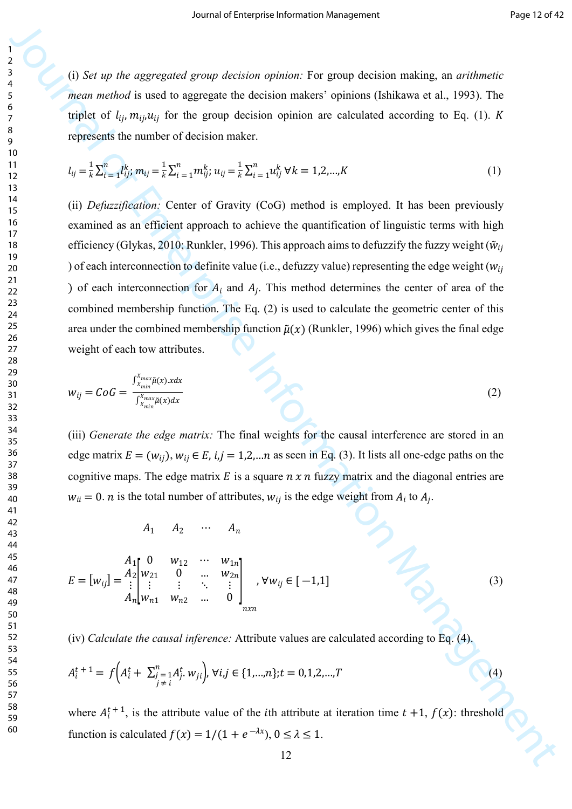(i) *Set up the aggregated group decision opinion:* For group decision making, an *arithmetic mean method* is used to aggregate the decision makers' opinions (Ishikawa et al., 1993). The triplet of  $l_{ij}$ ,  $m_{ij}u_{ij}$  for the group decision opinion are calculated according to Eq. (1). K represents the number of decision maker.

$$
l_{ij} = \frac{1}{k} \sum_{i=1}^{n} l_{ij}^{k}, \, m_{ij} = \frac{1}{k} \sum_{i=1}^{n} m_{ij}^{k}, \, u_{ij} = \frac{1}{k} \sum_{i=1}^{n} u_{ij}^{k} \, \forall k = 1, 2, \dots, K
$$
 (1)

Journal of the strained geomegation  $\mu$  and  $\mu$  and  $\mu$  and  $\mu$  and  $\mu$  and  $\mu$  and  $\mu$  and  $\mu$  and  $\mu$  and  $\mu$  and  $\mu$  and  $\mu$  and  $\mu$  and  $\mu$  and  $\mu$  and  $\mu$  and  $\mu$  and  $\mu$  and  $\mu$  and  $\mu$  and  $\mu$  (ii) *Defuzzification:* Center of Gravity (CoG) method is employed. It has been previously examined as an efficient approach to achieve the quantification of linguistic terms with high efficiency (Glykas, 2010; Runkler, 1996). This approach aims to defuzzify the fuzzy weight ( $\tilde{w}_{ii}$ ) of each interconnection to definite value (i.e., defuzzy value) representing the edge weight ( $w_{ij}$ ) of each interconnection for  $A_i$  and  $A_j$ . This method determines the center of area of the combined membership function. The Eq. (2) is used to calculate the geometric center of this area under the combined membership function  $\tilde{\mu}(x)$  (Runkler, 1996) which gives the final edge weight of each tow attributes.

$$
w_{ij} = CoG = \frac{\int_{x_{min}}^{x_{max}} \tilde{\mu}(x) \cdot x dx}{\int_{x_{min}}^{x_{max}} \tilde{\mu}(x) dx}
$$
(2)

(iii) *Generate the edge matrix:* The final weights for the causal interference are stored in an edge matrix  $E = (w_{ij}), w_{ij} \in E$ ,  $i, j = 1, 2, \dots n$  as seen in Eq. (3). It lists all one-edge paths on the cognitive maps. The edge matrix E is a square  $n \times n$  fuzzy matrix and the diagonal entries are  $w_{ii} = 0$ . *n* is the total number of attributes,  $w_{ij}$  is the edge weight from  $A_i$  to  $A_j$ .

 $A_1$   $A_2$  …  $A_n$ 

$$
A_1 \quad A_2 \quad \cdots \quad A_n
$$
\n
$$
E = [w_{ij}] = \frac{A_1}{i} \begin{bmatrix} 0 & w_{12} & \cdots & w_{1n} \\ w_{21} & 0 & \cdots & w_{2n} \\ \vdots & \vdots & \ddots & \vdots \\ a_n \end{bmatrix}, \forall w_{ij} \in [-1, 1]
$$
\n(3)

(iv) *Calculate the causal inference:* Attribute values are calculated according to Eq. (4).

$$
A_i^{t+1} = f\Big(A_i^t + \sum_{\substack{j=1 \ j \neq i}}^n A_j^t w_{ji}\Big), \forall i, j \in \{1, ..., n\}; t = 0, 1, 2, ..., T
$$
\n(4)

where  $A_i^{t+1}$ , is the attribute value of the *i*th attribute at iteration time  $t + 1$ ,  $f(x)$ : threshold function is calculated  $f(x) = 1/(1 + e^{-\lambda x})$ ,  $0 \le \lambda \le 1$ .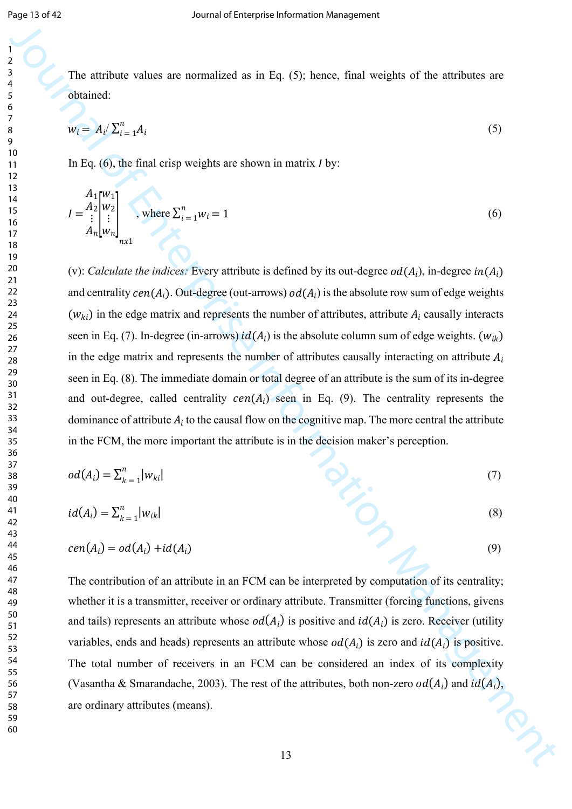The attribute values are normalized as in Eq. (5); hence, final weights of the attributes are obtained:

$$
w_i = A_i / \sum_{i=1}^n A_i \tag{5}
$$

In Eq.  $(6)$ , the final crisp weights are shown in matrix I by:

$$
I = \frac{A_1}{i} \begin{bmatrix} w_1 \\ w_2 \\ \vdots \\ a_n \end{bmatrix}_{n \times 1}, \text{ where } \sum_{i=1}^n w_i = 1
$$
 (6)

Journal of the anti-base values are numerions as in Fig. (3), between final originate of the attributes are obtained.<br>  $w_1 = \lambda_1 \sum_{n=1}^{\infty} a_n t_1$ <br>  $\sum_{n=1}^{\infty} a_n t_n = \lambda_1 \sum_{n=1}^{\infty} a_n t_n$ <br>  $\sum_{n=1}^{\infty} a_n t_n = \lambda_1 \sum_{n=1}^{\in$ (v): *Calculate the indices:* Every attribute is defined by its out-degree  $od(A_i)$ , in-degree  $in(A_i)$ and centrality  $cen(A_i)$ . Out-degree (out-arrows)  $od(A_i)$  is the absolute row sum of edge weights  $(w_{ki})$  in the edge matrix and represents the number of attributes, attribute  $A_i$  causally interacts seen in Eq. (7). In-degree (in-arrows)  $id(A_i)$  is the absolute column sum of edge weights. ( $w_{ik}$ ) in the edge matrix and represents the number of attributes causally interacting on attribute  $A_i$ seen in Eq. (8). The immediate domain or total degree of an attribute is the sum of its in-degree and out-degree, called centrality  $cen(A<sub>i</sub>)$  seen in Eq. (9). The centrality represents the dominance of attribute  $A_i$  to the causal flow on the cognitive map. The more central the attribute in the FCM, the more important the attribute is in the decision maker's perception.

$$
od(A_i) = \sum_{k=1}^{n} |w_{ki}|
$$
 (7)

$$
id(A_i) = \sum_{k=1}^{n} |w_{ik}|
$$
 (8)

$$
cen(Ai) = od(Ai) + id(Ai)
$$
\n(9)

The contribution of an attribute in an FCM can be interpreted by computation of its centrality; whether it is a transmitter, receiver or ordinary attribute. Transmitter (forcing functions, givens and tails) represents an attribute whose  $od(A_i)$  is positive and  $id(A_i)$  is zero. Receiver (utility variables, ends and heads) represents an attribute whose  $od(A_i)$  is zero and  $id(A_i)$  is positive. The total number of receivers in an FCM can be considered an index of its complexity (Vasantha & Smarandache, 2003). The rest of the attributes, both non-zero  $od(A_i)$  and  $id(A_i)$ , are ordinary attributes (means).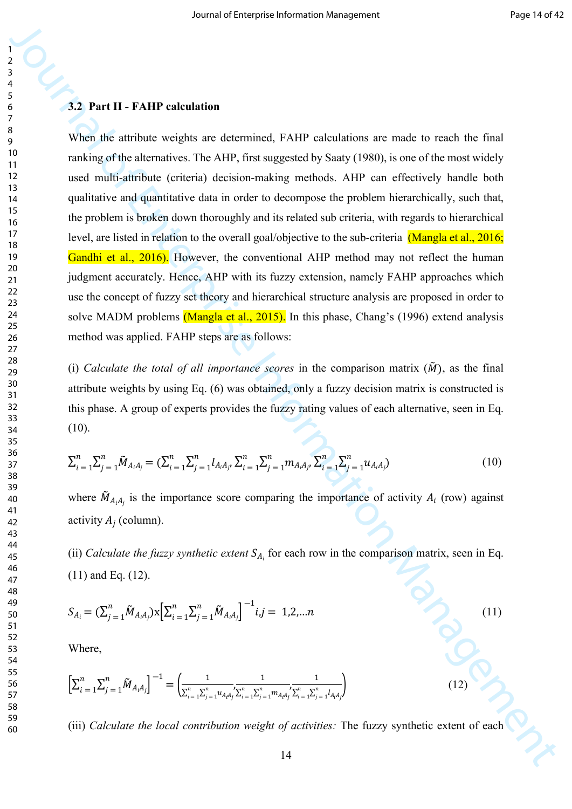### **3.2 Part II - FAHP calculation**

3<br>
3<br>
4<br>
4<br>
4<br>
4<br>
4<br>
4<br>
4 The signification is equivalent and determined. FAHP calculations are made to each the final<br>
probability content the control of the control of the simple control of the simple control of the sim When the attribute weights are determined, FAHP calculations are made to reach the final ranking of the alternatives. The AHP, first suggested by Saaty (1980), is one of the most widely used multi-attribute (criteria) decision-making methods. AHP can effectively handle both qualitative and quantitative data in order to decompose the problem hierarchically, such that, the problem is broken down thoroughly and its related sub criteria, with regards to hierarchical level, are listed in relation to the overall goal/objective to the sub-criteria (Mangla et al., 2016; Gandhi et al., 2016). However, the conventional AHP method may not reflect the human judgment accurately. Hence, AHP with its fuzzy extension, namely FAHP approaches which use the concept of fuzzy set theory and hierarchical structure analysis are proposed in order to solve MADM problems (Mangla et al., 2015). In this phase, Chang's (1996) extend analysis method was applied. FAHP steps are as follows:

(i) *Calculate the total of all importance scores* in the comparison matrix  $(\tilde{M})$ , as the final attribute weights by using Eq. (6) was obtained, only a fuzzy decision matrix is constructed is this phase. A group of experts provides the fuzzy rating values of each alternative, seen in Eq. (10).

$$
\sum_{i=1}^{n} \sum_{j=1}^{n} \tilde{M}_{A_i A_j} = (\sum_{i=1}^{n} \sum_{j=1}^{n} l_{A_i A_j}, \sum_{i=1}^{n} \sum_{j=1}^{n} m_{A_i A_j}, \sum_{i=1}^{n} \sum_{j=1}^{n} u_{A_i A_j})
$$
(10)

where  $\tilde{M}_{A_iA_j}$  is the importance score comparing the importance of activity  $A_i$  (row) against activity  $A_i$  (column).

(ii) *Calculate the fuzzy synthetic extent*  $S_{A_i}$  for each row in the comparison matrix, seen in Eq. (11) and Eq. (12).

$$
S_{A_i} = (\sum_{j=1}^n \tilde{M}_{A_i A_j}) \times \left[ \sum_{i=1}^n \sum_{j=1}^n \tilde{M}_{A_i A_j} \right]^{-1} i, j = 1, 2, \dots n
$$
\n(11)

Where,

$$
\left[\sum_{i=1}^{n} \sum_{j=1}^{n} \tilde{M}_{A_i A_j}\right]^{-1} = \left(\frac{1}{\sum_{i=1}^{n} \sum_{j=1}^{n} u_{A_i A_j}} \sum_{i=1}^{n} \sum_{j=1}^{n} m_{A_i A_j} \sum_{i=1}^{n} \sum_{j=1}^{n} l_{A_i A_j}\right)
$$
(12)

(iii) *Calculate the local contribution weight of activities:* The fuzzy synthetic extent of each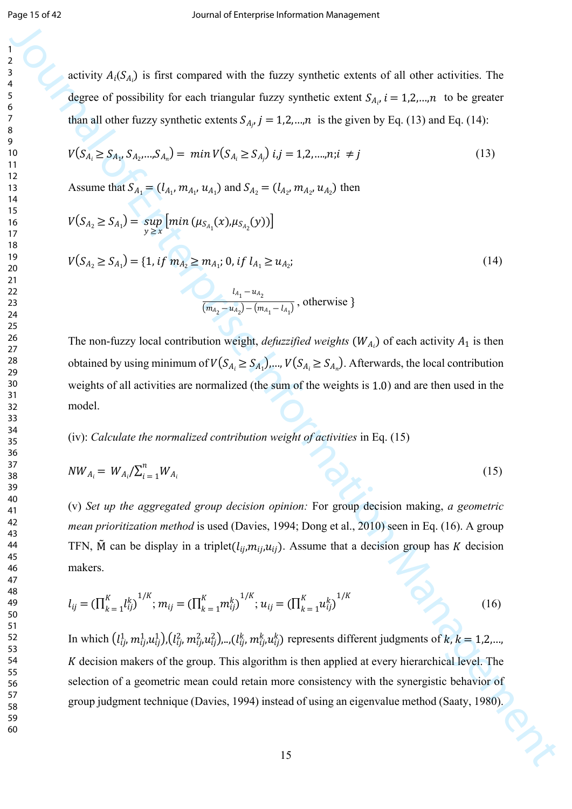activity  $A_i(S_{A_i})$  is first compared with the fuzzy synthetic extents of all other activities. The degree of possibility for each triangular fuzzy synthetic extent  $S_{A_i}$ ,  $i = 1,2,...,n$  to be greater than all other fuzzy synthetic extents  $S_{A_j}$ ,  $j = 1,2,...,n$  is the given by Eq. (13) and Eq. (14):

$$
V(S_{A_i} \geq S_{A_1}, S_{A_2},...,S_{A_n}) = \min V(S_{A_i} \geq S_{A_j}) \ i,j = 1,2,...,n; i \neq j
$$
\n(13)

Assume that  $S_{A_1} = (l_{A_1}, m_{A_1}, u_{A_1})$  and  $S_{A_2} = (l_{A_2}, m_{A_2}, u_{A_2})$  then

$$
V(S_{A_2} \geq S_{A_1}) = \sup_{y \geq x} [min (\mu_{S_{A_1}}(x), \mu_{S_{A_2}}(y))]
$$

$$
V(S_{A_2} \ge S_{A_1}) = \{1, \, if \, m_{A_2} \ge m_{A_1}; \, 0, \, if \, l_{A_1} \ge u_{A_2}; \tag{14}
$$

$$
\frac{l_{A_1}-u_{A_2}}{(m_{A_2}-u_{A_2})-(m_{A_1}-l_{A_1})}
$$
, otherwise  $\}$ 

The non-fuzzy local contribution weight, *defuzzified weights*  $(W_{A_i})$  of each activity  $A_1$  is then obtained by using minimum of  $V(S_{A_i} \geq S_{A_1})$ ,...,  $V(S_{A_i} \geq S_{A_n})$ . Afterwards, the local contribution weights of all activities are normalized (the sum of the weights is  $1.0$ ) and are then used in the model.

### (iv): *Calculate the normalized contribution weight of activities* in Eq. (15)

$$
NW_{A_i} = W_{A_i} / \sum_{i=1}^{n} W_{A_i}
$$
 (15)

(v) *Set up the aggregated group decision opinion:* For group decision making, *a geometric mean prioritization method* is used (Davies, 1994; Dong et al., 2010) seen in Eq. (16). A group TFN,  $\tilde{M}$  can be display in a triplet  $(l_{ij}, m_{ij}, u_{ij})$ . Assume that a decision group has K decision makers.

$$
l_{ij} = (\prod_{k=1}^{K} l_{ij}^{k})^{1/K}; m_{ij} = (\prod_{k=1}^{K} m_{ij}^{k})^{1/K}; u_{ij} = (\prod_{k=1}^{K} u_{ij}^{k})^{1/K}
$$
(16)

**1**<br> **Alting the Controlling Controlling Controlling Controlling Controlling Controlling Controlling Controlling Controlling Controlling Controlling Controlling Controlling Controlling Controlling Controlling Controlling** In which  $(l_{ij}^1, m_{ij}^1, u_{ij}^1), (l_{ij}^2, m_{ij}^2, u_{ij}^2), \ldots, (l_{ij}^k, m_{ij}^k, u_{ij}^k)$  represents different judgments of  $k, k = 1, 2, \ldots, k$  $K$  decision makers of the group. This algorithm is then applied at every hierarchical level. The selection of a geometric mean could retain more consistency with the synergistic behavior of group judgment technique (Davies, 1994) instead of using an eigenvalue method (Saaty, 1980).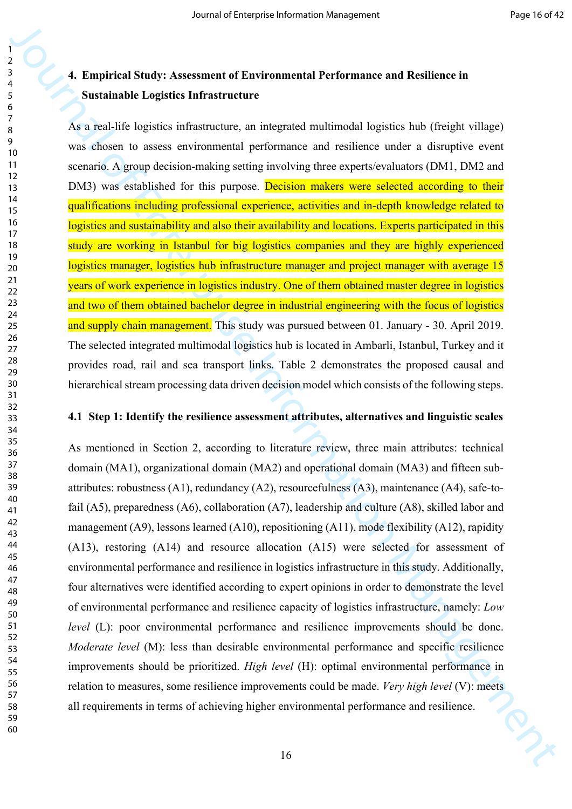# **4. Empirical Study: Assessment of Environmental Performance and Resilience in Sustainable Logistics Infrastructure**

As a real-life logistics infrastructure, an integrated multimodal logistics hub (freight village) was chosen to assess environmental performance and resilience under a disruptive event scenario. A group decision-making setting involving three experts/evaluators (DM1, DM2 and DM3) was established for this purpose. Decision makers were selected according to their qualifications including professional experience, activities and in-depth knowledge related to logistics and sustainability and also their availability and locations. Experts participated in this study are working in Istanbul for big logistics companies and they are highly experienced logistics manager, logistics hub infrastructure manager and project manager with average 15 years of work experience in logistics industry. One of them obtained master degree in logistics and two of them obtained bachelor degree in industrial engineering with the focus of logistics and supply chain management. This study was pursued between 01. January - 30. April 2019. The selected integrated multimodal logistics hub is located in Ambarli, Istanbul, Turkey and it provides road, rail and sea transport links. Table 2 demonstrates the proposed causal and hierarchical stream processing data driven decision model which consists of the following steps.

### **4.1 Step 1: Identify the resilience assessment attributes, alternatives and linguistic scales**

**3**<br> **4.** Empirical Study: Assessment of Environmental Performance and Resilience in<br>
Sustainable Logistics Infrastructure<br> **5.** a given in the species infrastructure in the species method in the species of the species of As mentioned in Section 2, according to literature review, three main attributes: technical domain (MA1), organizational domain (MA2) and operational domain (MA3) and fifteen subattributes: robustness (A1), redundancy (A2), resourcefulness (A3), maintenance (A4), safe-tofail (A5), preparedness (A6), collaboration (A7), leadership and culture (A8), skilled labor and management (A9), lessons learned (A10), repositioning (A11), mode flexibility (A12), rapidity (A13), restoring (A14) and resource allocation (A15) were selected for assessment of environmental performance and resilience in logistics infrastructure in this study. Additionally, four alternatives were identified according to expert opinions in order to demonstrate the level of environmental performance and resilience capacity of logistics infrastructure, namely: *Low level* (L): poor environmental performance and resilience improvements should be done. *Moderate level* (M): less than desirable environmental performance and specific resilience improvements should be prioritized. *High level* (H): optimal environmental performance in relation to measures, some resilience improvements could be made. *Very high level* (V): meets all requirements in terms of achieving higher environmental performance and resilience.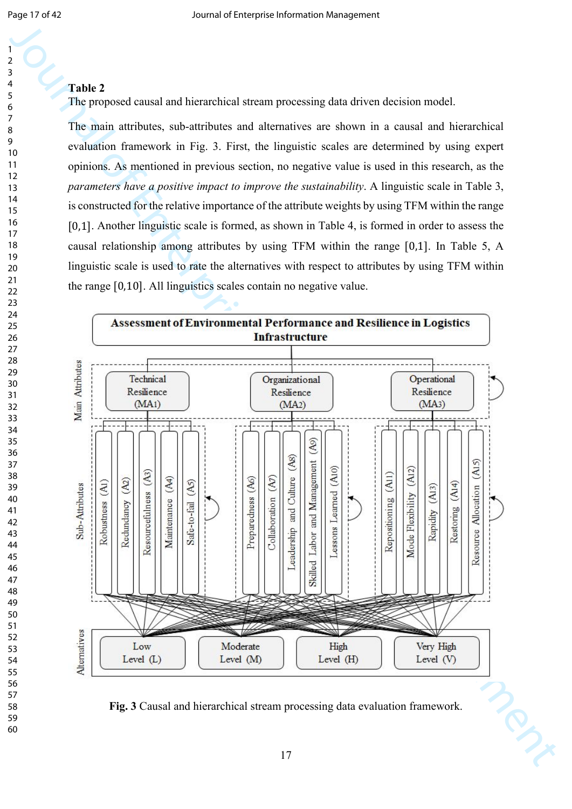### **Table 2**

The proposed causal and hierarchical stream processing data driven decision model.

The main attributes, sub-attributes and alternatives are shown in a causal and hierarchical evaluation framework in Fig. 3. First, the linguistic scales are determined by using expert opinions. As mentioned in previous section, no negative value is used in this research, as the *parameters have a positive impact to improve the sustainability*. A linguistic scale in Table 3, is constructed for the relative importance of the attribute weights by using TFM within the range [0,1]. Another linguistic scale is formed, as shown in Table 4, is formed in order to assess the causal relationship among attributes by using TFM within the range  $[0,1]$ . In Table 5, A linguistic scale is used to rate the alternatives with respect to attributes by using TFM within the range  $[0,10]$ . All linguistics scales contain no negative value.



**Fig. 3** Causal and hierarchical stream processing data evaluation framework.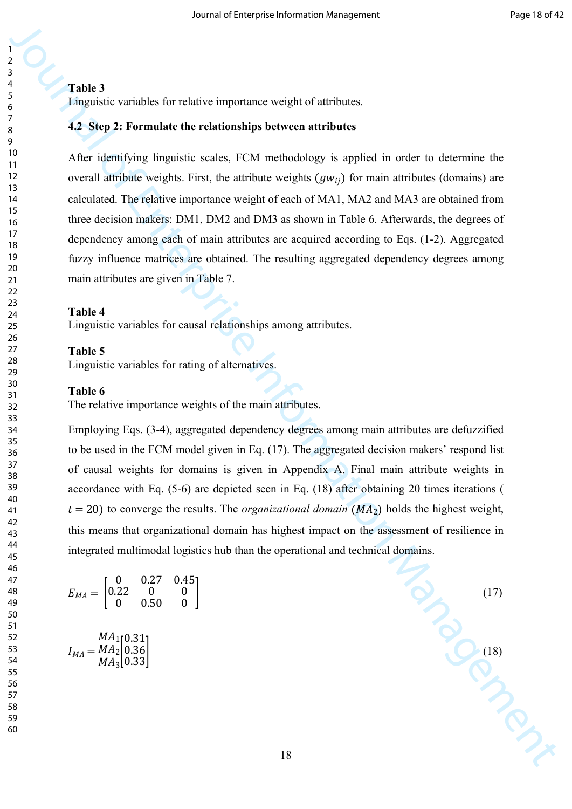### **Table 3**

Linguistic variables for relative importance weight of attributes.

### **4.2 Step 2: Formulate the relationships between attributes**

After identifying linguistic scales, FCM methodology is applied in order to determine the overall attribute weights. First, the attribute weights  $(gw_{ii})$  for main attributes (domains) are calculated. The relative importance weight of each of MA1, MA2 and MA3 are obtained from three decision makers: DM1, DM2 and DM3 as shown in Table 6. Afterwards, the degrees of dependency among each of main attributes are acquired according to Eqs. (1-2). Aggregated fuzzy influence matrices are obtained. The resulting aggregated dependency degrees among main attributes are given in Table 7.

#### **Table 4**

Linguistic variables for causal relationships among attributes.

#### **Table 5**

Linguistic variables for rating of alternatives.

#### **Table 6**

The relative importance weights of the main attributes.

**Table 4**<br> **Table 3**<br> **Extreme the relationship between attributes**<br> **Extreme the formulation information interpretations of the state of the state of the state of the state of the state of the state of the state of the s** Employing Eqs. (3-4), aggregated dependency degrees among main attributes are defuzzified to be used in the FCM model given in Eq. (17). The aggregated decision makers' respond list of causal weights for domains is given in Appendix A. Final main attribute weights in accordance with Eq. (5-6) are depicted seen in Eq. (18) after obtaining 20 times iterations (  $t = 20$ ) to converge the results. The *organizational domain* ( $MA<sub>2</sub>$ ) holds the highest weight, this means that organizational domain has highest impact on the assessment of resilience in integrated multimodal logistics hub than the operational and technical domains.

$$
E_{MA} = \begin{bmatrix} 0 & 0.27 & 0.45 \\ 0.22 & 0 & 0 \\ 0 & 0.50 & 0 \end{bmatrix}
$$
 (17)

 $I_{MA} = MA_2 |0.36|$  (18)  $MA_1$  $MA<sub>2</sub>$  $\begin{bmatrix} 1 & 1 & 1 \\ M & 1 & 3 \end{bmatrix}$ 0.31  $\begin{bmatrix} 0.36 \ 0.33 \end{bmatrix}$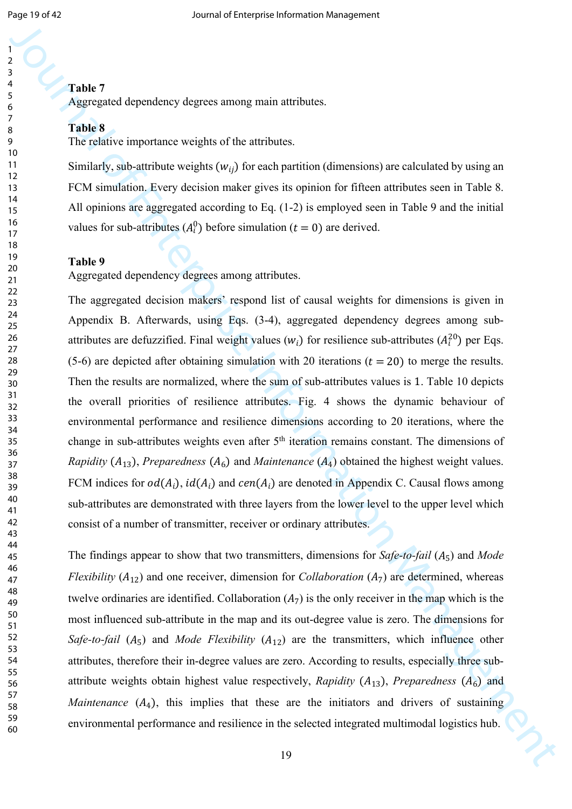## **Table 7**

Aggregated dependency degrees among main attributes.

#### **Table 8**

The relative importance weights of the attributes.

Similarly, sub-attribute weights  $(w_{ii})$  for each partition (dimensions) are calculated by using an FCM simulation. Every decision maker gives its opinion for fifteen attributes seen in Table 8. All opinions are aggregated according to Eq. (1-2) is employed seen in Table 9 and the initial values for sub-attributes  $(A_i^0)$  before simulation ( $t = 0$ ) are derived.

#### **Table 9**

Aggregated dependency degrees among attributes.

Journal of the method of the method state of the control of the methods in the method in the method of the method in the method of the method in the method of the method in the method of the method in the method of the me The aggregated decision makers' respond list of causal weights for dimensions is given in Appendix B. Afterwards, using Eqs. (3-4), aggregated dependency degrees among subattributes are defuzzified. Final weight values  $(w_i)$  for resilience sub-attributes  $(A_i^{20})$  per Eqs. (5-6) are depicted after obtaining simulation with 20 iterations ( $t = 20$ ) to merge the results. Then the results are normalized, where the sum of sub-attributes values is 1. Table 10 depicts the overall priorities of resilience attributes. Fig. 4 shows the dynamic behaviour of environmental performance and resilience dimensions according to 20 iterations, where the change in sub-attributes weights even after 5<sup>th</sup> iteration remains constant. The dimensions of *Rapidity* ( $A_{13}$ ), *Preparedness* ( $A_6$ ) and *Maintenance* ( $A_4$ ) obtained the highest weight values. FCM indices for  $od(A_i)$ ,  $id(A_i)$  and  $cen(A_i)$  are denoted in Appendix C. Causal flows among sub-attributes are demonstrated with three layers from the lower level to the upper level which consist of a number of transmitter, receiver or ordinary attributes.

The findings appear to show that two transmitters, dimensions for *Safe-to-fail*  $(A_5)$  and *Mode Flexibility*  $(A_{12})$  and one receiver, dimension for *Collaboration*  $(A_7)$  are determined, whereas twelve ordinaries are identified. Collaboration  $(A_7)$  is the only receiver in the map which is the most influenced sub-attribute in the map and its out-degree value is zero. The dimensions for *Safe-to-fail*  $(A_5)$  and *Mode Flexibility*  $(A_{12})$  are the transmitters, which influence other attributes, therefore their in-degree values are zero. According to results, especially three subattribute weights obtain highest value respectively, *Rapidity*  $(A_{13})$ , *Preparedness*  $(A_6)$  and *Maintenance*  $(A_4)$ , this implies that these are the initiators and drivers of sustaining environmental performance and resilience in the selected integrated multimodal logistics hub.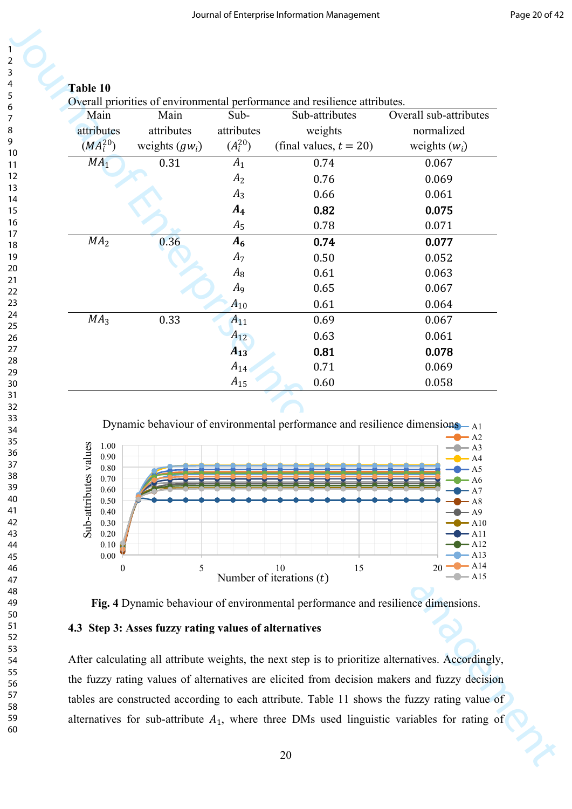| Main                                                                                                                                | Main                                                  | Sub-           | Overall priorities of environmental performance and resilience attributes.<br>Sub-attributes | Overall sub-attributes                                                                                                                                                                           |
|-------------------------------------------------------------------------------------------------------------------------------------|-------------------------------------------------------|----------------|----------------------------------------------------------------------------------------------|--------------------------------------------------------------------------------------------------------------------------------------------------------------------------------------------------|
| attributes                                                                                                                          | attributes                                            | attributes     | weights                                                                                      | normalized                                                                                                                                                                                       |
| $(MA_i^{20})$                                                                                                                       | weights $(gw_i)$                                      | $(A_i^{20})$   | (final values, $t = 20$ )                                                                    | weights $(w_i)$                                                                                                                                                                                  |
| MA <sub>1</sub>                                                                                                                     | 0.31                                                  | $A_1$          | 0.74                                                                                         | 0.067                                                                                                                                                                                            |
|                                                                                                                                     |                                                       | A <sub>2</sub> | 0.76                                                                                         | 0.069                                                                                                                                                                                            |
|                                                                                                                                     |                                                       | $A_3$          | 0.66                                                                                         | 0.061                                                                                                                                                                                            |
|                                                                                                                                     |                                                       | $A_4$          | 0.82                                                                                         | 0.075                                                                                                                                                                                            |
|                                                                                                                                     |                                                       | $A_5$          | 0.78                                                                                         | 0.071                                                                                                                                                                                            |
| MA <sub>2</sub>                                                                                                                     | 0.36                                                  | $A_6$          | 0.74                                                                                         | 0.077                                                                                                                                                                                            |
|                                                                                                                                     |                                                       | $A_7$<br>$A_8$ | 0.50<br>0.61                                                                                 | 0.052<br>0.063                                                                                                                                                                                   |
|                                                                                                                                     |                                                       | $A_9$          | 0.65                                                                                         | 0.067                                                                                                                                                                                            |
|                                                                                                                                     |                                                       | $A_{10}$       | 0.61                                                                                         | 0.064                                                                                                                                                                                            |
| MA <sub>3</sub>                                                                                                                     | 0.33                                                  | $A_{11}$       | 0.69                                                                                         | 0.067                                                                                                                                                                                            |
|                                                                                                                                     |                                                       | $A_{12}$       | 0.63                                                                                         | 0.061                                                                                                                                                                                            |
|                                                                                                                                     |                                                       | $A_{13}$       | 0.81                                                                                         | 0.078                                                                                                                                                                                            |
|                                                                                                                                     |                                                       | $A_{14}$       | 0.71                                                                                         | 0.069                                                                                                                                                                                            |
|                                                                                                                                     |                                                       |                | Dynamic behaviour of environmental performance and resilience dimensions-A1                  | $-A2$                                                                                                                                                                                            |
| $\mathbf{S}$<br>1.00<br>Sub-attributes valu<br>0.90<br>$0.80\,$<br>0.70<br>0.60<br>0.50<br>0.40<br>0.30<br>0.20<br>0.10<br>$0.00\,$ |                                                       |                |                                                                                              | $-A3$<br>$\blacktriangleright$ A4<br>$- A5$<br>$- A6$<br>– A7<br>$- A8$<br>$\bullet - A9$<br>$\bullet$ A10<br>$\blacktriangleright$ All<br>$\blacktriangleright$ A12<br>$-$ A13<br>$\bullet$ A14 |
| $\boldsymbol{0}$                                                                                                                    | 5                                                     |                | 15<br>10<br>Number of iterations $(t)$                                                       | 20<br>$\bullet$ A15                                                                                                                                                                              |
|                                                                                                                                     |                                                       |                | Fig. 4 Dynamic behaviour of environmental performance and resilience dimensions.             |                                                                                                                                                                                                  |
|                                                                                                                                     | 4.3 Step 3: Asses fuzzy rating values of alternatives |                |                                                                                              |                                                                                                                                                                                                  |
|                                                                                                                                     |                                                       |                |                                                                                              | After calculating all attribute weights, the next step is to prioritize alternatives. Accordingly,                                                                                               |
|                                                                                                                                     |                                                       |                |                                                                                              |                                                                                                                                                                                                  |
|                                                                                                                                     |                                                       |                |                                                                                              | the fuzzy rating values of alternatives are elicited from decision makers and fuzzy decision                                                                                                     |





# **4.3 Step 3: Asses fuzzy rating values of alternatives**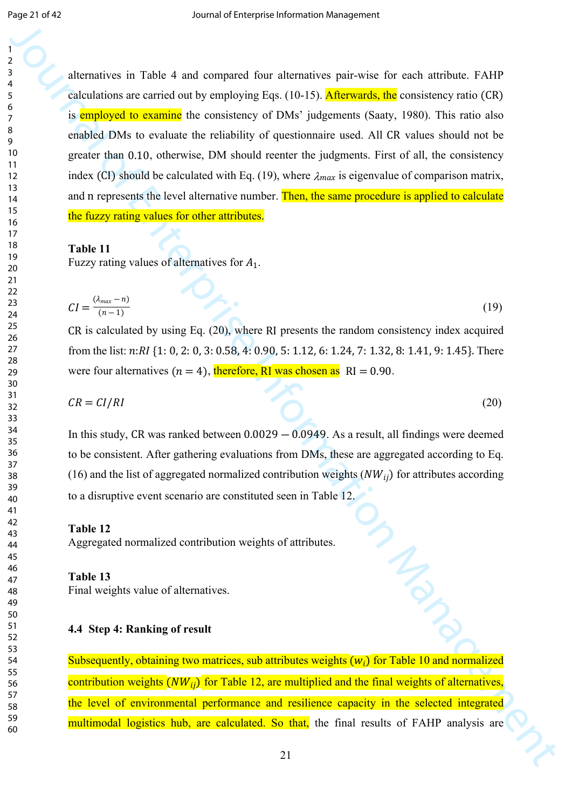**Example 19**<br> **Example 20**<br> **Example 20**<br> **Example 20**<br> **Example 20**<br> **Example 20**<br> **Example 20**<br> **Example 20**<br> **Example 20**<br> **Example 20**<br> **Example 20**<br> **Example 20**<br> **Example 20**<br> **Example 20**<br> **Example 20**<br> **Example 20** alternatives in Table 4 and compared four alternatives pair-wise for each attribute. FAHP calculations are carried out by employing Eqs.  $(10-15)$ . Afterwards, the consistency ratio  $(CR)$ is employed to examine the consistency of DMs' judgements (Saaty, 1980). This ratio also enabled DMs to evaluate the reliability of questionnaire used. All CR values should not be greater than 0.10, otherwise, DM should reenter the judgments. First of all, the consistency index (CI) should be calculated with Eq. (19), where  $\lambda_{max}$  is eigenvalue of comparison matrix, and n represents the level alternative number. Then, the same procedure is applied to calculate the fuzzy rating values for other attributes.

### **Table 11**

Fuzzy rating values of alternatives for  $A_1$ .

$$
CI = \frac{(\lambda_{max} - n)}{(n-1)}
$$
 (19)

 $CR$  is calculated by using Eq.  $(20)$ , where RI presents the random consistency index acquired from the list:  $n:RI$  {1: 0, 2: 0, 3: 0.58, 4: 0.90, 5: 1.12, 6: 1.24, 7: 1.32, 8: 1.41, 9: 1.45}. There were four alternatives ( $n = 4$ ), therefore, RI was chosen as  $\text{RI} = 0.90$ .

$$
CR = CI/RI \tag{20}
$$

In this study, CR was ranked between  $0.0029 - 0.0949$ . As a result, all findings were deemed to be consistent. After gathering evaluations from DMs, these are aggregated according to Eq. (16) and the list of aggregated normalized contribution weights  $(NW_{ii})$  for attributes according to a disruptive event scenario are constituted seen in Table 12.

#### **Table 12**

Aggregated normalized contribution weights of attributes.

#### **Table 13**

Final weights value of alternatives.

### **4.4 Step 4: Ranking of result**

Subsequently, obtaining two matrices, sub attributes weights  $(w_i)$  for Table 10 and normalized contribution weights  $(NW_{ii})$  for Table 12, are multiplied and the final weights of alternatives, the level of environmental performance and resilience capacity in the selected integrated multimodal logistics hub, are calculated. So that, the final results of FAHP analysis are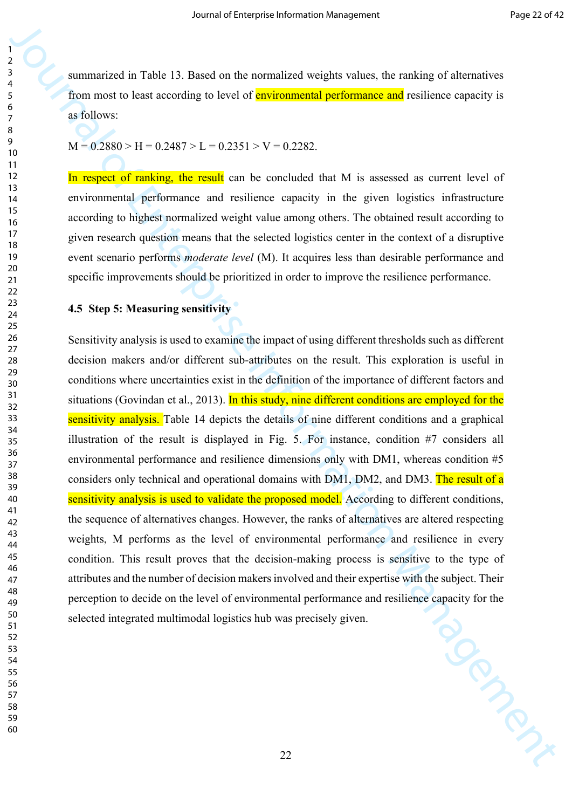summarized in Table 13. Based on the normalized weights values, the ranking of alternatives from most to least according to level of **environmental performance and** resilience capacity is as follows:

 $M = 0.2880 > H = 0.2487 > L = 0.2351 > V = 0.2282$ 

In respect of ranking, the result can be concluded that M is assessed as current level of environmental performance and resilience capacity in the given logistics infrastructure according to highest normalized weight value among others. The obtained result according to given research question means that the selected logistics center in the context of a disruptive event scenario performs *moderate level* (M). It acquires less than desirable performance and specific improvements should be prioritized in order to improve the resilience performance.

#### **4.5 Step 5: Measuring sensitivity**

**EXECUTE:**<br> **EXECUTE AN INSTEAD AND A CONSTRAINER CONSTRAINER AND A CONSTRAINER CONSTRAINER CONSTRAINER CONSTRAINER CONSTRAINER AND INTERFERENCE CONSTRAINER (SEE ONE CONSTRAINER CONSTRAINER CONSTRAINER CONSTRAINER CONSTRA** Sensitivity analysis is used to examine the impact of using different thresholds such as different decision makers and/or different sub-attributes on the result. This exploration is useful in conditions where uncertainties exist in the definition of the importance of different factors and situations (Govindan et al., 2013). In this study, nine different conditions are employed for the sensitivity analysis. Table 14 depicts the details of nine different conditions and a graphical illustration of the result is displayed in Fig. 5. For instance, condition #7 considers all environmental performance and resilience dimensions only with DM1, whereas condition #5 considers only technical and operational domains with DM1, DM2, and DM3. The result of a sensitivity analysis is used to validate the proposed model. According to different conditions, the sequence of alternatives changes. However, the ranks of alternatives are altered respecting weights, M performs as the level of environmental performance and resilience in every condition. This result proves that the decision-making process is sensitive to the type of attributes and the number of decision makers involved and their expertise with the subject. Their perception to decide on the level of environmental performance and resilience capacity for the selected integrated multimodal logistics hub was precisely given. selected integrated multimodal logistics hub was precisely given.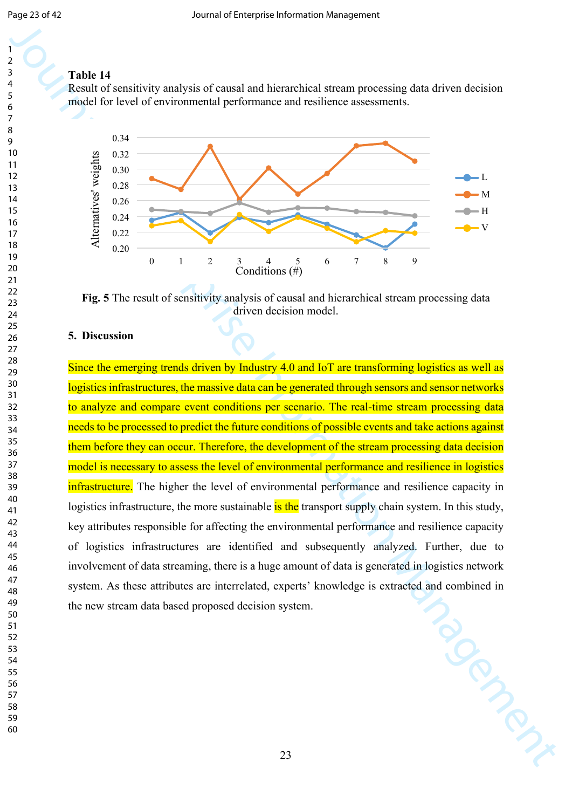## **Table 14**

Result of sensitivity analysis of causal and hierarchical stream processing data driven decision model for level of environmental performance and resilience assessments.



**Fig. 5** The result of sensitivity analysis of causal and hierarchical stream processing data driven decision model.

### **5. Discussion**

Journal of Enterprise Interpretation of Constal and Microscopic attornal processing data divisor division Management Constant Constant Constant Constant Constant Constant Constant Constant Constant Constant Constant Const Since the emerging trends driven by Industry 4.0 and IoT are transforming logistics as well as logistics infrastructures, the massive data can be generated through sensors and sensor networks to analyze and compare event conditions per scenario. The real-time stream processing data needs to be processed to predict the future conditions of possible events and take actions against them before they can occur. Therefore, the development of the stream processing data decision model is necessary to assess the level of environmental performance and resilience in logistics infrastructure. The higher the level of environmental performance and resilience capacity in logistics infrastructure, the more sustainable is the transport supply chain system. In this study, key attributes responsible for affecting the environmental performance and resilience capacity of logistics infrastructures are identified and subsequently analyzed. Further, due to involvement of data streaming, there is a huge amount of data is generated in logistics network system. As these attributes are interrelated, experts' knowledge is extracted and combined in<br>the new stream data based proposed decision system. the new stream data based proposed decision system.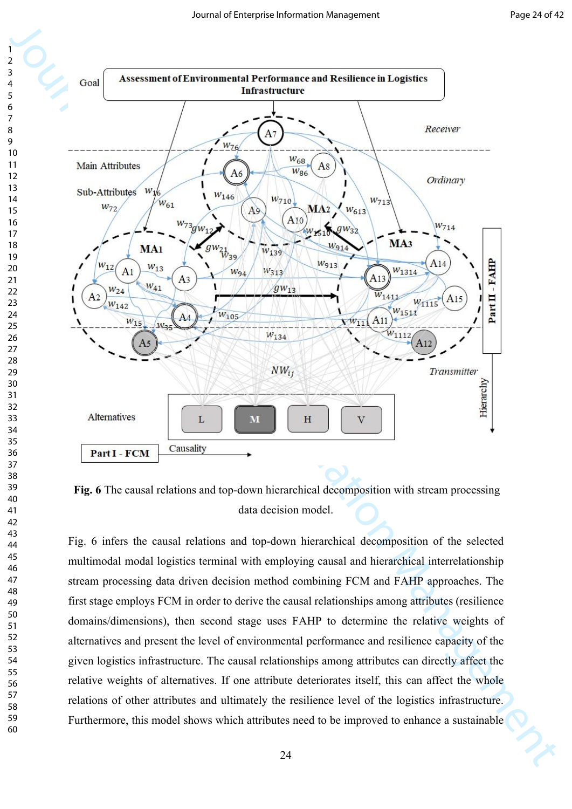

**Fig. 6** The causal relations and top-down hierarchical decomposition with stream processing data decision model.

Fig. 6 infers the causal relations and top-down hierarchical decomposition of the selected multimodal modal logistics terminal with employing causal and hierarchical interrelationship stream processing data driven decision method combining FCM and FAHP approaches. The first stage employs FCM in order to derive the causal relationships among attributes (resilience domains/dimensions), then second stage uses FAHP to determine the relative weights of alternatives and present the level of environmental performance and resilience capacity of the given logistics infrastructure. The causal relationships among attributes can directly affect the relative weights of alternatives. If one attribute deteriorates itself, this can affect the whole relations of other attributes and ultimately the resilience level of the logistics infrastructure. Furthermore, this model shows which attributes need to be improved to enhance a sustainable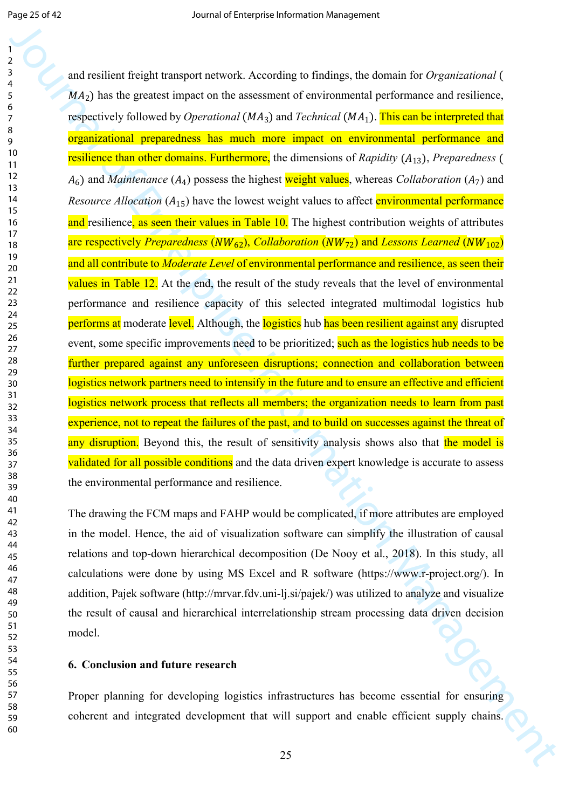**For the control of the state of the state of the state of the state of the state of the state of the state of the state of the state of the state of the state of the state of the state of the state of the state of the st** and resilient freight transport network. According to findings, the domain for *Organizational* (  $MA<sub>2</sub>$ ) has the greatest impact on the assessment of environmental performance and resilience, respectively followed by *Operational* (MA<sub>3</sub>) and *Technical* (MA<sub>1</sub>). This can be interpreted that organizational preparedness has much more impact on environmental performance and resilience than other domains. Furthermore, the dimensions of *Rapidity* (A<sub>13</sub>), *Preparedness* (  $A_6$ ) and *Maintenance* ( $A_4$ ) possess the highest weight values, whereas *Collaboration* ( $A_7$ ) and *Resource Allocation*  $(A_{15})$  have the lowest weight values to affect environmental performance and resilience, as seen their values in Table 10. The highest contribution weights of attributes are respectively *Preparedness* ( $\overline{NW_{62}}$ ), *Collaboration* ( $\overline{NW_{72}}$ ) and *Lessons Learned* ( $\overline{NW_{102}}$ ) and all contribute to *Moderate Level* of environmental performance and resilience, as seen their values in Table 12. At the end, the result of the study reveals that the level of environmental performance and resilience capacity of this selected integrated multimodal logistics hub performs at moderate level. Although, the logistics hub has been resilient against any disrupted event, some specific improvements need to be prioritized; such as the logistics hub needs to be further prepared against any unforeseen disruptions; connection and collaboration between logistics network partners need to intensify in the future and to ensure an effective and efficient logistics network process that reflects all members; the organization needs to learn from past experience, not to repeat the failures of the past, and to build on successes against the threat of any disruption. Beyond this, the result of sensitivity analysis shows also that the model is validated for all possible conditions and the data driven expert knowledge is accurate to assess the environmental performance and resilience.

The drawing the FCM maps and FAHP would be complicated, if more attributes are employed in the model. Hence, the aid of visualization software can simplify the illustration of causal relations and top-down hierarchical decomposition (De Nooy et al., 2018). In this study, all calculations were done by using MS Excel and R software (https://www.r-project.org/). In addition, Pajek software (http://mrvar.fdv.uni-lj.si/pajek/) was utilized to analyze and visualize the result of causal and hierarchical interrelationship stream processing data driven decision model.

### **6. Conclusion and future research**

Proper planning for developing logistics infrastructures has become essential for ensuring coherent and integrated development that will support and enable efficient supply chains.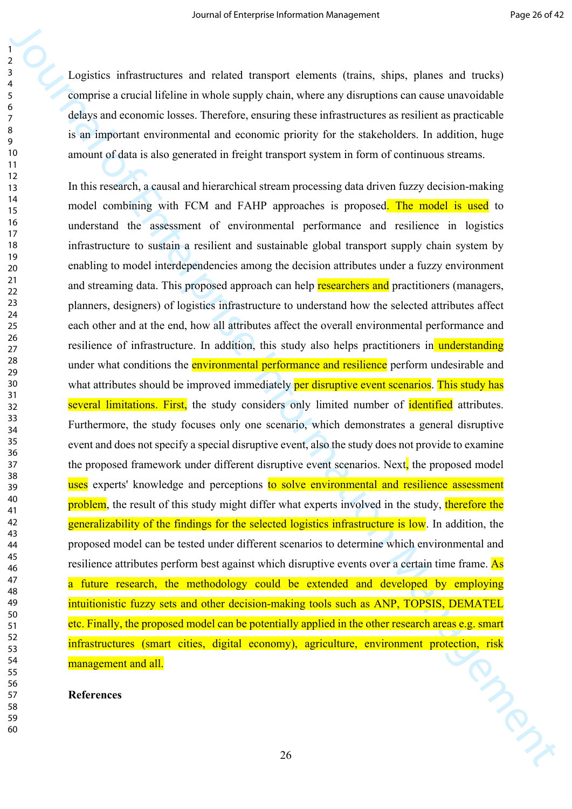Logistics infrastructures and related transport elements (trains, ships, planes and trucks) comprise a crucial lifeline in whole supply chain, where any disruptions can cause unavoidable delays and economic losses. Therefore, ensuring these infrastructures as resilient as practicable is an important environmental and economic priority for the stakeholders. In addition, huge amount of data is also generated in freight transport system in form of continuous streams.

Journal of the two-boost is the two-boost interpret of the set of the set of the set of the set of the set of the set of the set of the set of the set of the set of the set of the set of the set of the set of the set of t In this research, a causal and hierarchical stream processing data driven fuzzy decision-making model combining with FCM and FAHP approaches is proposed. The model is used to understand the assessment of environmental performance and resilience in logistics infrastructure to sustain a resilient and sustainable global transport supply chain system by enabling to model interdependencies among the decision attributes under a fuzzy environment and streaming data. This proposed approach can help researchers and practitioners (managers, planners, designers) of logistics infrastructure to understand how the selected attributes affect each other and at the end, how all attributes affect the overall environmental performance and resilience of infrastructure. In addition, this study also helps practitioners in understanding under what conditions the **environmental performance and resilience** perform undesirable and what attributes should be improved immediately per disruptive event scenarios. This study has several limitations. First, the study considers only limited number of identified attributes. Furthermore, the study focuses only one scenario, which demonstrates a general disruptive event and does not specify a special disruptive event, also the study does not provide to examine the proposed framework under different disruptive event scenarios. Next, the proposed model uses experts' knowledge and perceptions to solve environmental and resilience assessment problem, the result of this study might differ what experts involved in the study, therefore the generalizability of the findings for the selected logistics infrastructure is low. In addition, the proposed model can be tested under different scenarios to determine which environmental and resilience attributes perform best against which disruptive events over a certain time frame. As a future research, the methodology could be extended and developed by employing intuitionistic fuzzy sets and other decision-making tools such as ANP, TOPSIS, DEMATEL etc. Finally, the proposed model can be potentially applied in the other research areas e.g. smart infrastructures (smart cities, digital economy), agriculture, environment protection, risk management and all.

### **References**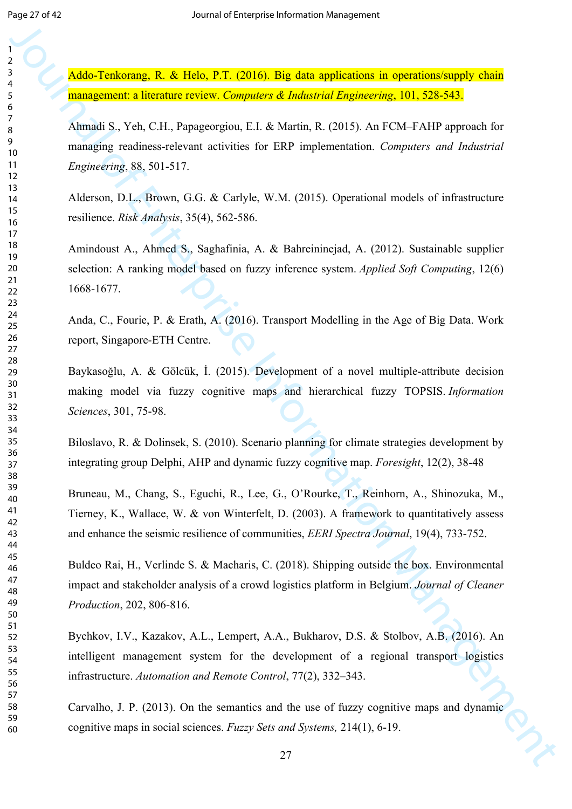Addo-Tenkorang, R. & Helo, P.T. (2016). Big data applications in operations/supply chain management: a literature review. *Computers & Industrial Engineering*, 101, 528-543.

**Analogical Excelsion F. C. 2016).** Higgs Managemental interpresentation of the enterprise Information Control of Enterprise Information Control of Enterprise Information Managemental E. yie, C.H. C. Equity, W. M. (2015). Ahmadi S., Yeh, C.H., Papageorgiou, E.I. & Martin, R. (2015). An FCM–FAHP approach for managing readiness-relevant activities for ERP implementation. *Computers and Industrial Engineering*, 88, 501-517.

Alderson, D.L., Brown, G.G. & Carlyle, W.M. (2015). Operational models of infrastructure resilience. *Risk Analysis*, 35(4), 562-586.

Amindoust A., Ahmed S., Saghafinia, A. & Bahreininejad, A. (2012). Sustainable supplier selection: A ranking model based on fuzzy inference system. *Applied Soft Computing*, 12(6) 1668-1677.

Anda, C., Fourie, P. & Erath, A. (2016). Transport Modelling in the Age of Big Data. Work report, Singapore-ETH Centre.

Baykasoğlu, A. & Gölcük, İ. (2015). Development of a novel multiple-attribute decision making model via fuzzy cognitive maps and hierarchical fuzzy TOPSIS. *Information Sciences*, 301, 75-98.

Biloslavo, R. & Dolinsek, S. (2010). Scenario planning for climate strategies development by integrating group Delphi, AHP and dynamic fuzzy cognitive map. *Foresight*, 12(2), 38-48

Bruneau, M., Chang, S., Eguchi, R., Lee, G., O'Rourke, T., Reinhorn, A., Shinozuka, M., Tierney, K., Wallace, W. & von Winterfelt, D. (2003). A framework to quantitatively assess and enhance the seismic resilience of communities, *EERI Spectra Journal*, 19(4), 733-752.

Buldeo Rai, H., Verlinde S. & Macharis, C. (2018). Shipping outside the box. Environmental impact and stakeholder analysis of a crowd logistics platform in Belgium. *Journal of Cleaner Production*, 202, 806-816.

Bychkov, I.V., Kazakov, A.L., Lempert, A.A., Bukharov, D.S. & Stolbov, A.B. (2016). An intelligent management system for the development of a regional transport logistics infrastructure. *Automation and Remote Control*, 77(2), 332–343.

Carvalho, J. P. (2013). On the semantics and the use of fuzzy cognitive maps and dynamic cognitive maps in social sciences. *Fuzzy Sets and Systems,* 214(1), 6-19.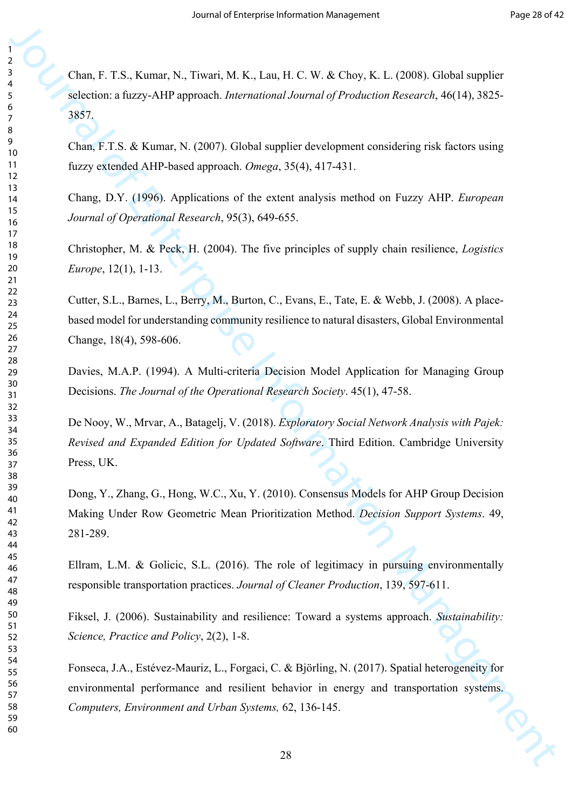Journal of Entertainment (M. 1994). Normal of Entertainment (Management Action 1991)<br>
Solven a faze-AHP approach *betweenlooml beams of Production Research* (M10, 3825-3857,<br>
13. Come F.T.S. & Karmac, N. (2007). Griend su Chan, F. T.S., Kumar, N., Tiwari, M. K., Lau, H. C. W. & Choy, K. L. (2008). Global supplier selection: a fuzzy-AHP approach. *International Journal of Production Research*, 46(14), 3825- 3857.

Chan, F.T.S. & Kumar, N. (2007). Global supplier development considering risk factors using fuzzy extended AHP-based approach. *Omega*, 35(4), 417-431.

Chang, D.Y. (1996). Applications of the extent analysis method on Fuzzy AHP. *European Journal of Operational Research*, 95(3), 649-655.

Christopher, M. & Peck, H. (2004). The five principles of supply chain resilience, *Logistics Europe*, 12(1), 1-13.

Cutter, S.L., Barnes, L., Berry, M., Burton, C., Evans, E., Tate, E. & Webb, J. (2008). A placebased model for understanding community resilience to natural disasters, Global Environmental Change, 18(4), 598-606.

Davies, M.A.P. (1994). A Multi-criteria Decision Model Application for Managing Group Decisions. *The Journal of the Operational Research Society*. 45(1), 47-58.

De Nooy, W., Mrvar, A., Batagelj, V. (2018). *Exploratory Social Network Analysis with Pajek: Revised and Expanded Edition for Updated Software*. Third Edition. Cambridge University Press, UK.

Dong, Y., Zhang, G., Hong, W.C., Xu, Y. (2010). Consensus Models for AHP Group Decision Making Under Row Geometric Mean Prioritization Method. *Decision Support Systems*. 49, 281-289.

Ellram, L.M. & Golicic, S.L. (2016). The role of legitimacy in pursuing environmentally responsible transportation practices. *Journal of Cleaner Production*, 139, 597-611.

Fiksel, J. (2006). Sustainability and resilience: Toward a systems approach. *Sustainability: Science, Practice and Policy*, 2(2), 1-8.

Fonseca, J.A., Estévez-Mauriz, L., Forgaci, C. & Björling, N. (2017). Spatial heterogeneity for environmental performance and resilient behavior in energy and transportation systems. *Computers, Environment and Urban Systems,* 62, 136-145.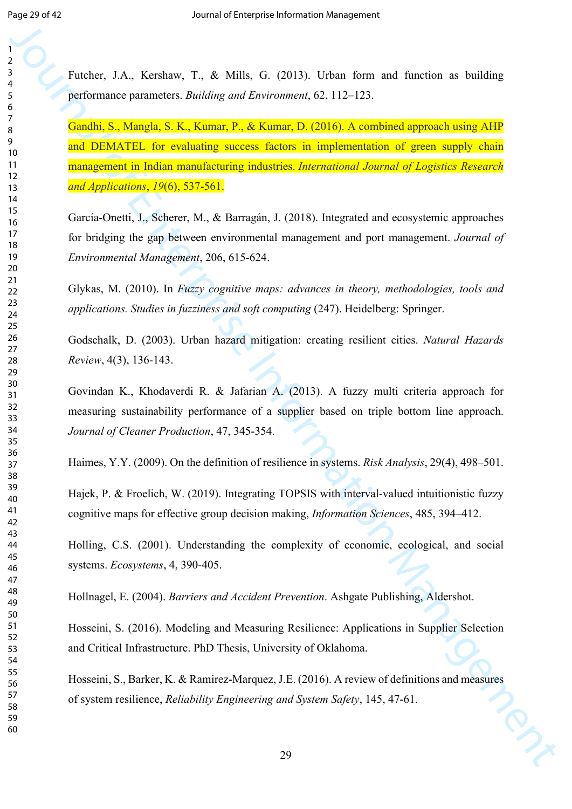Futcher, J.A., Kershaw, T., & Mills, G. (2013). Urban form and function as building performance parameters. *Building and Environment*, 62, 112–123.

**Function**<br> **Function** J.A., Ker-Fore, F., & Mills, G. (2013). Urban form and function as building<br> **Particulares parameters**, *Building and Environment*, G. 112-125.<br> **Condition** Management *Building and Environment*, G. Gandhi, S., Mangla, S. K., Kumar, P., & Kumar, D. (2016). A combined approach using AHP and DEMATEL for evaluating success factors in implementation of green supply chain management in Indian manufacturing industries. *International Journal of Logistics Research and Applications*, *19*(6), 537-561.

García-Onetti, J., Scherer, M., & Barragán, J. (2018). Integrated and ecosystemic approaches for bridging the gap between environmental management and port management. *Journal of Environmental Management*, 206, 615-624.

Glykas, M. (2010). In *Fuzzy cognitive maps: advances in theory, methodologies, tools and applications. Studies in fuzziness and soft computing* (247). Heidelberg: Springer.

Godschalk, D. (2003). Urban hazard mitigation: creating resilient cities. *Natural Hazards Review*, 4(3), 136-143.

Govindan K., Khodaverdi R. & Jafarian A. (2013). A fuzzy multi criteria approach for measuring sustainability performance of a supplier based on triple bottom line approach. *Journal of Cleaner Production*, 47, 345-354.

Haimes, Y.Y. (2009). On the definition of resilience in systems. *Risk Analysis*, 29(4), 498–501.

Hajek, P. & Froelich, W. (2019). Integrating TOPSIS with interval-valued intuitionistic fuzzy cognitive maps for effective group decision making, *Information Sciences*, 485, 394–412.

Holling, C.S. (2001). Understanding the complexity of economic, ecological, and social systems. *Ecosystems*, 4, 390-405.

Hollnagel, E. (2004). *Barriers and Accident Prevention*. Ashgate Publishing, Aldershot.

Hosseini, S. (2016). Modeling and Measuring Resilience: Applications in Supplier Selection and Critical Infrastructure. PhD Thesis, University of Oklahoma.

Hosseini, S., Barker, K. & Ramirez-Marquez, J.E. (2016). A review of definitions and measures of system resilience, *Reliability Engineering and System Safety*, 145, 47-61.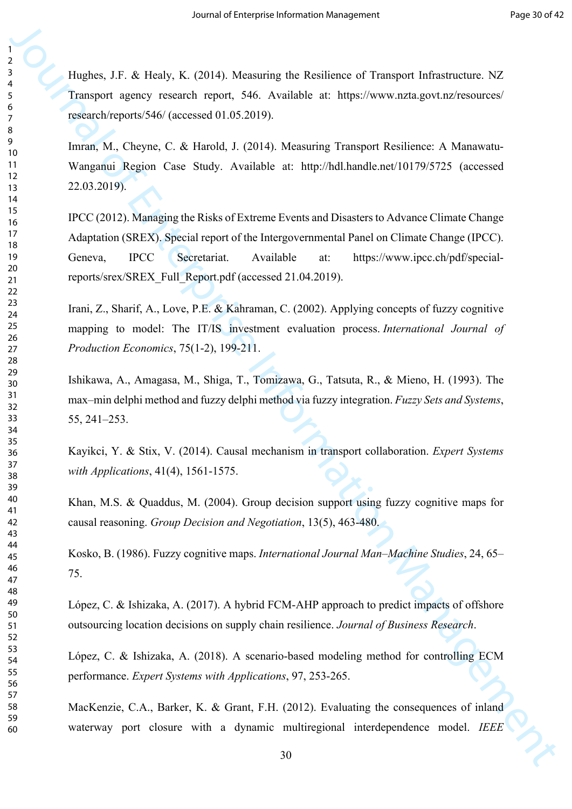Hughes, J.F. & Healy, K. (2014). Measuring the Resilience of Transport Infrastructure. NZ Transport agency research report, 546. Available at: https://www.nzta.govt.nz/resources/ research/reports/546/ (accessed 01.05.2019).

Imran, M., Cheyne, C. & Harold, J. (2014). Measuring Transport Resilience: A Manawatu-Wanganui Region Case Study. Available at: http://hdl.handle.net/10179/5725 (accessed 22.03.2019).

Journal of Entertainment (EUP) Alternative and Science of Theorem Information Control (Entertainment Application Management Application (ECR) (A Society Control (Entertainment Application Management Application Management IPCC (2012). Managing the Risks of Extreme Events and Disasters to Advance Climate Change Adaptation (SREX). Special report of the Intergovernmental Panel on Climate Change (IPCC). Geneva, IPCC Secretariat. Available at: https://www.ipcc.ch/pdf/specialreports/srex/SREX\_Full\_Report.pdf (accessed 21.04.2019).

Irani, Z., Sharif, A., Love, P.E. & Kahraman, C. (2002). Applying concepts of fuzzy cognitive mapping to model: The IT/IS investment evaluation process. *International Journal of Production Economics*, 75(1-2), 199-211.

Ishikawa, A., Amagasa, M., Shiga, T., Tomizawa, G., Tatsuta, R., & Mieno, H. (1993). The max–min delphi method and fuzzy delphi method via fuzzy integration. *Fuzzy Sets and Systems*, 55, 241–253.

Kayikci, Y. & Stix, V. (2014). Causal mechanism in transport collaboration. *Expert Systems with Applications*, 41(4), 1561-1575.

Khan, M.S. & Quaddus, M. (2004). Group decision support using fuzzy cognitive maps for causal reasoning. *Group Decision and Negotiation*, 13(5), 463-480.

Kosko, B. (1986). Fuzzy cognitive maps. *International Journal Man–Machine Studies*, 24, 65– 75.

López, C. & Ishizaka, A. (2017). A hybrid FCM-AHP approach to predict impacts of offshore outsourcing location decisions on supply chain resilience. *Journal of Business Research*.

López, C. & Ishizaka, A. (2018). A scenario-based modeling method for controlling ECM performance. *Expert Systems with Applications*, 97, 253-265.

MacKenzie, C.A., Barker, K. & Grant, F.H. (2012). Evaluating the consequences of inland waterway port closure with a dynamic multiregional interdependence model. *IEEE*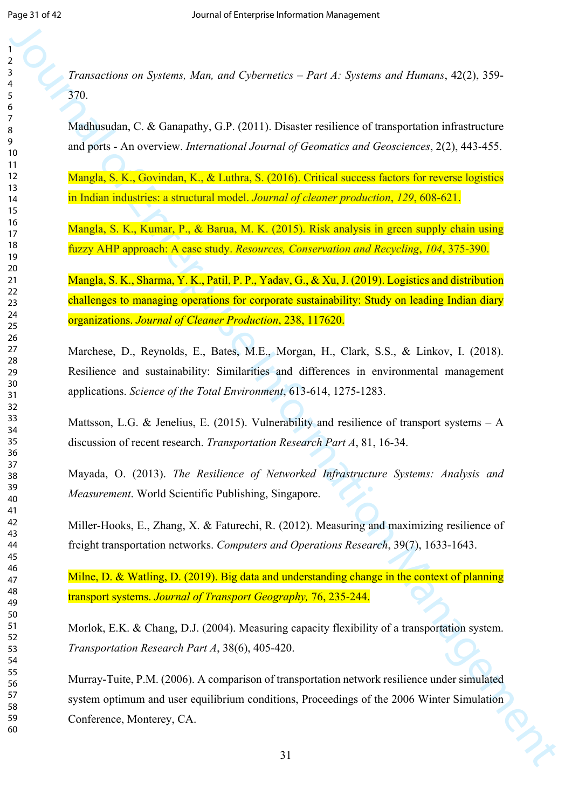*Transactions on Systems, Man, and Cybernetics – Part A: Systems and Humans*, 42(2), 359- 370.

Madhusudan, C. & Ganapathy, G.P. (2011). Disaster resilience of transportation infrastructure and ports - An overview. *International Journal of Geomatics and Geosciences*, 2(2), 443-455.

Mangla, S. K., Govindan, K., & Luthra, S. (2016). Critical success factors for reverse logistics in Indian industries: a structural model. *Journal of cleaner production*, *129*, 608-621.

Mangla, S. K., Kumar, P., & Barua, M. K. (2015). Risk analysis in green supply chain using fuzzy AHP approach: A case study. *Resources, Conservation and Recycling*, *104*, 375-390.

Framencions on Systems, Man, and Cyhennetics - Part A: Systems and Homons, 42(2), 339-<br>
22(3),<br>
22(3), Transformation C. & Grangelity, G.P. (2011). Diseaser resilections of the<br>angle particles in particles Information Man Mangla, S. K., Sharma, Y. K., Patil, P. P., Yadav, G., & Xu, J. (2019). Logistics and distribution challenges to managing operations for corporate sustainability: Study on leading Indian diary organizations. *Journal of Cleaner Production*, 238, 117620.

Marchese, D., Reynolds, E., Bates, M.E., Morgan, H., Clark, S.S., & Linkov, I. (2018). Resilience and sustainability: Similarities and differences in environmental management applications. *Science of the Total Environment*, 613-614, 1275-1283.

Mattsson, L.G. & Jenelius, E. (2015). Vulnerability and resilience of transport systems  $- A$ discussion of recent research. *Transportation Research Part A*, 81, 16-34.

Mayada, O. (2013). *The Resilience of Networked Infrastructure Systems: Analysis and Measurement*. World Scientific Publishing, Singapore.

Miller-Hooks, E., Zhang, X. & Faturechi, R. (2012). Measuring and maximizing resilience of freight transportation networks. *Computers and Operations Research*, 39(7), 1633-1643.

Milne, D. & Watling, D. (2019). Big data and understanding change in the context of planning transport systems. *Journal of Transport Geography,* 76, 235-244.

Morlok, E.K. & Chang, D.J. (2004). Measuring capacity flexibility of a transportation system. *Transportation Research Part A*, 38(6), 405-420.

Murray-Tuite, P.M. (2006). A comparison of transportation network resilience under simulated system optimum and user equilibrium conditions, Proceedings of the 2006 Winter Simulation Conference, Monterey, CA.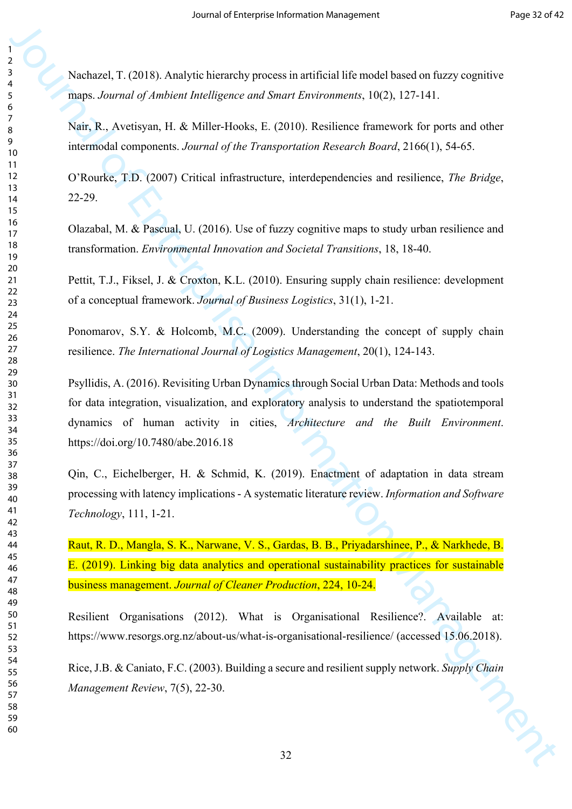Nachazel, T. (2018). Analytic hierarchy process in artificial life model based on fuzzy cognitive maps. *Journal of Ambient Intelligence and Smart Environments*, 10(2), 127-141.

Nair, R., Avetisyan, H. & Miller-Hooks, E. (2010). Resilience framework for ports and other intermodal components. *Journal of the Transportation Research Board*, 2166(1), 54-65.

O'Rourke, T.D. (2007) Critical infrastructure, interdependencies and resilience, *The Bridge*, 22-29.

Olazabal, M. & Pascual, U. (2016). Use of fuzzy cognitive maps to study urban resilience and transformation. *Environmental Innovation and Societal Transitions*, 18, 18-40.

Pettit, T.J., Fiksel, J. & Croxton, K.L. (2010). Ensuring supply chain resilience: development of a conceptual framework. *Journal of Business Logistics*, 31(1), 1-21.

Ponomarov, S.Y. & Holcomb, M.C. (2009). Understanding the concept of supply chain resilience. *The International Journal of Logistics Management*, 20(1), 124-143.

Journal of Characteristics increase the main state of the main state of the main state of the solution of the solution of the solution of the solution of the solution of the solution of the solution of the solution of the Psyllidis, A. (2016). Revisiting Urban Dynamics through Social Urban Data: Methods and tools for data integration, visualization, and exploratory analysis to understand the spatiotemporal dynamics of human activity in cities, *Architecture and the Built Environment*. https://doi.org/10.7480/abe.2016.18

Qin, C., Eichelberger, H. & Schmid, K. (2019). Enactment of adaptation in data stream processing with latency implications - A systematic literature review. *Information and Software Technology*, 111, 1-21.

Raut, R. D., Mangla, S. K., Narwane, V. S., Gardas, B. B., Priyadarshinee, P., & Narkhede, B. E. (2019). Linking big data analytics and operational sustainability practices for sustainable business management. *Journal of Cleaner Production*, 224, 10-24.

Resilient Organisations (2012). What is Organisational Resilience?. Available at: https://www.resorgs.org.nz/about-us/what-is-organisational-resilience/ (accessed 15.06.2018).

Rice, J.B. & Caniato, F.C. (2003). Building a secure and resilient supply network. *Supply Chain Management Review*, 7(5), 22-30.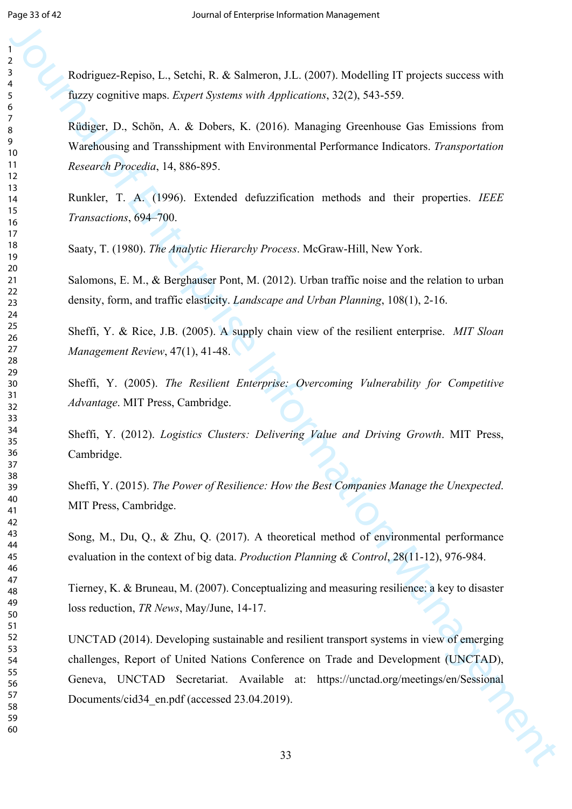Rodriguez-Repiso, L., Setchi, R. & Salmeron, J.L. (2007). Modelling IT projects success with fuzzy cognitive maps. *Expert Systems with Applications*, 32(2), 543-559.

Rüdiger, D., Schön, A. & Dobers, K. (2016). Managing Greenhouse Gas Emissions from Warehousing and Transshipment with Environmental Performance Indicators. *Transportation Research Procedia*, 14, 886-895.

Runkler, T. A. (1996). Extended defuzzification methods and their properties. *IEEE Transactions*, 694–700.

Saaty, T. (1980). *The Analytic Hierarchy Process*. McGraw-Hill, New York.

Salomons, E. M., & Berghauser Pont, M. (2012). Urban traffic noise and the relation to urban density, form, and traffic elasticity. *Landscape and Urban Planning*, 108(1), 2-16.

Sheffi, Y. & Rice, J.B. (2005). A supply chain view of the resilient enterprise. *MIT Sloan Management Review*, 47(1), 41-48.

Sheffi, Y. (2005). *The Resilient Enterprise: Overcoming Vulnerability for Competitive Advantage*. MIT Press, Cambridge.

Sheffi, Y. (2012). *Logistics Clusters: Delivering Value and Driving Growth*. MIT Press, Cambridge.

Sheffi, Y. (2015). *The Power of Resilience: How the Best Companies Manage the Unexpected*. MIT Press, Cambridge.

Song, M., Du, Q., & Zhu, Q. (2017). A theoretical method of environmental performance evaluation in the context of big data. *Production Planning & Control*, 28(11-12), 976-984.

Tierney, K. & Bruneau, M. (2007). Conceptualizing and measuring resilience: a key to disaster loss reduction, *TR News*, May/June, 14-17.

Journal of the contents of Enterprise Information Management Contents (New System and Theorem and The Contents of System and The Contents of Enterprise Information Management Contents (New System and The Contents of The C UNCTAD (2014). Developing sustainable and resilient transport systems in view of emerging challenges, Report of United Nations Conference on Trade and Development (UNCTAD), Geneva, UNCTAD Secretariat. Available at: https://unctad.org/meetings/en/Sessional Documents/cid34\_en.pdf (accessed 23.04.2019).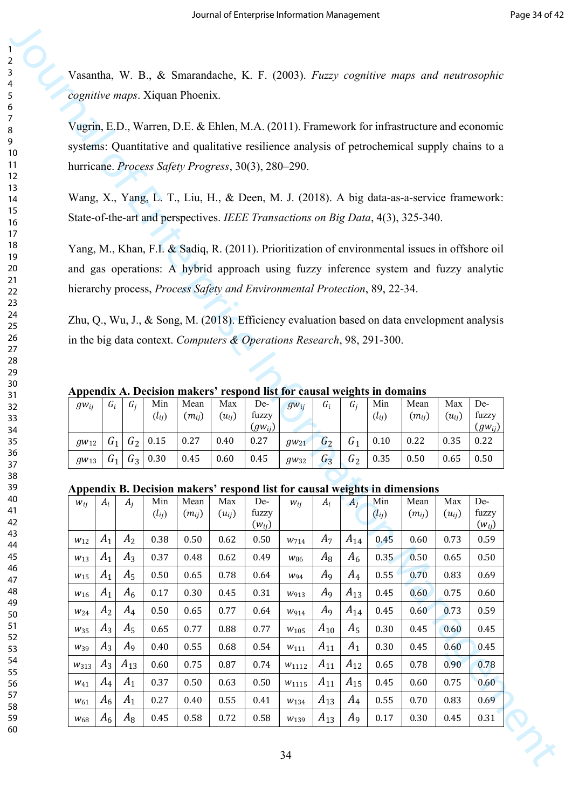**Appendix A. Decision makers' respond list for causal weights in domains**

| $g_{Wij}$    | $G_i$          | G i   | Min        | Mean       | Max        | De-         | $gW_{ij}$    | $G_i$ | <b>G</b> i | Min        | Mean       | Max        | De-         |
|--------------|----------------|-------|------------|------------|------------|-------------|--------------|-------|------------|------------|------------|------------|-------------|
|              |                |       | $(l_{ij})$ | $(m_{ij})$ | $(u_{ij})$ | fuzzy       |              |       |            | $(l_{ij})$ | $(m_{ij})$ | $(u_{ij})$ | fuzzy       |
|              |                |       |            |            |            | $(gw_{ij})$ |              |       |            |            |            |            | $(gw_{ij})$ |
| $g_{W_{12}}$ | $\mathsf{u}_1$ | $G_2$ | 0.15       | 0.27       | 0.40       | 0.27        | $g_{W_{21}}$ | $G_2$ | U1         | 0.10       | 0.22       | 0.35       | 0.22        |
| $g_{W13}$    | $G_1$          | $G_3$ | 0.30       | 0.45       | 0.60       | 0.45        | $g_{W32}$    | $G_3$ | $G_2$      | 0.35       | 0.50       | 0.65       | 0.50        |

### **Appendix B. Decision makers' respond list for causal weights in dimensions**

| Vasantha, W. B., & Smarandache, K. F. (2003). Fuzzy cognitive maps and neutrosophic<br>cognitive maps. Xiquan Phoenix. |                |                         |              |              |              |                                                                            |                         |                |                   |              |                                                                                                 |              |                     |
|------------------------------------------------------------------------------------------------------------------------|----------------|-------------------------|--------------|--------------|--------------|----------------------------------------------------------------------------|-------------------------|----------------|-------------------|--------------|-------------------------------------------------------------------------------------------------|--------------|---------------------|
|                                                                                                                        |                |                         |              |              |              |                                                                            |                         |                |                   |              |                                                                                                 |              |                     |
|                                                                                                                        |                |                         |              |              |              |                                                                            |                         |                |                   |              | Vugrin, E.D., Warren, D.E. & Ehlen, M.A. (2011). Framework for infrastructure and economic      |              |                     |
|                                                                                                                        |                |                         |              |              |              |                                                                            |                         |                |                   |              | systems: Quantitative and qualitative resilience analysis of petrochemical supply chains to a   |              |                     |
|                                                                                                                        |                |                         |              |              |              | hurricane. Process Safety Progress, 30(3), 280–290.                        |                         |                |                   |              |                                                                                                 |              |                     |
|                                                                                                                        |                |                         |              |              |              |                                                                            |                         |                |                   |              | Wang, X., Yang, L. T., Liu, H., & Deen, M. J. (2018). A big data-as-a-service framework:        |              |                     |
|                                                                                                                        |                |                         |              |              |              |                                                                            |                         |                |                   |              | State-of-the-art and perspectives. IEEE Transactions on Big Data, 4(3), 325-340.                |              |                     |
|                                                                                                                        |                |                         |              |              |              |                                                                            |                         |                |                   |              |                                                                                                 |              |                     |
|                                                                                                                        |                |                         |              |              |              |                                                                            |                         |                |                   |              | Yang, M., Khan, F.I. & Sadiq, R. (2011). Prioritization of environmental issues in offshore oil |              |                     |
|                                                                                                                        |                |                         |              |              |              |                                                                            |                         |                |                   |              | and gas operations: A hybrid approach using fuzzy inference system and fuzzy analytic           |              |                     |
|                                                                                                                        |                |                         |              |              |              | hierarchy process, Process Safety and Environmental Protection, 89, 22-34. |                         |                |                   |              |                                                                                                 |              |                     |
|                                                                                                                        |                |                         |              |              |              |                                                                            |                         |                |                   |              |                                                                                                 |              |                     |
|                                                                                                                        |                |                         |              |              |              |                                                                            |                         |                |                   |              | Zhu, Q., Wu, J., & Song, M. (2018). Efficiency evaluation based on data envelopment analysis    |              |                     |
|                                                                                                                        |                |                         |              |              |              | in the big data context. Computers & Operations Research, 98, 291-300.     |                         |                |                   |              |                                                                                                 |              |                     |
|                                                                                                                        |                |                         |              |              |              |                                                                            |                         |                |                   |              |                                                                                                 |              |                     |
|                                                                                                                        |                |                         |              |              |              |                                                                            |                         |                |                   |              |                                                                                                 |              |                     |
|                                                                                                                        |                |                         |              |              |              |                                                                            |                         |                |                   |              |                                                                                                 |              |                     |
|                                                                                                                        |                |                         |              |              |              | Appendix A. Decision makers' respond list for causal weights in domains    |                         |                |                   |              |                                                                                                 |              |                     |
| $g_{Wij}$                                                                                                              | $G_i$          | $G_i$                   | Min          | Mean         | Max          | De-                                                                        | $gW_{ii}$               | $G_i$          | $G_i$             | Min          | Mean                                                                                            | Max          | De-                 |
|                                                                                                                        |                |                         | $(l_{ij})$   | $(m_{ij})$   | $(u_{ij})$   | fuzzy<br>$(gw_{ii})$                                                       |                         |                |                   | $(l_{ij})$   | $(m_{ii})$                                                                                      | $(u_{ij})$   |                     |
| $g_{W_{12}}$                                                                                                           | $G_1$          | G <sub>2</sub>          | 0.15         | 0.27         | 0.40         | 0.27                                                                       | $g_{W_{21}}$            | G <sub>2</sub> | $G_1$             | 0.10         | 0.22                                                                                            | 0.35         | fuzzy<br>0.22       |
| $g_{W13}$                                                                                                              | $G_1$          | $G_3$                   | 0.30         | 0.45         | 0.60         | 0.45                                                                       | $g_{W32}$               | $G_3$          | $G_2$             | 0.35         | 0.50                                                                                            | 0.65         | 0.50                |
|                                                                                                                        |                |                         |              |              |              |                                                                            |                         |                |                   |              |                                                                                                 |              |                     |
|                                                                                                                        |                |                         | Min          | Mean         | Max          | De-                                                                        |                         | $A_i$          | $A_i$             | Min          | Appendix B. Decision makers' respond list for causal weights in dimensions<br>Mean              | Max          | De-                 |
| $W_{ij}$                                                                                                               | $A_i$          | $A_i$                   | $(l_{ij})$   | $(m_{ii})$   | $(u_{ii})$   | fuzzy                                                                      | $W_{ij}$                |                |                   | $(l_{ij})$   | $(m_{ii})$                                                                                      | $(u_{ii})$   | fuzzy               |
|                                                                                                                        |                |                         |              |              |              | $(w_{ij})$                                                                 |                         |                |                   |              |                                                                                                 |              | $(w_{ij})$          |
| $W_{12}$<br>$W_{13}$                                                                                                   | $A_1$<br>$A_1$ | A <sub>2</sub><br>$A_3$ | 0.38<br>0.37 | 0.50<br>0.48 | 0.62<br>0.62 | 0.50<br>0.49                                                               | W714<br>W <sub>86</sub> | $A_7$<br>$A_8$ | $A_{14}$<br>$A_6$ | 0.45<br>0.35 | 0.60<br>0.50                                                                                    | 0.73<br>0.65 | 0.59<br>0.50        |
| W <sub>15</sub>                                                                                                        | $A_1$          | $A_5$                   | 0.50         | 0.65         | 0.78         | 0.64                                                                       | $W_{94}$                | A <sub>9</sub> | $A_4$             | 0.55         | 0.70                                                                                            | 0.83         | 0.69                |
| $W_{16}$                                                                                                               | $A_1$          | A <sub>6</sub>          | 0.17         | 0.30         | 0.45         | 0.31                                                                       | W913                    | Aq             | $A_{13}$          | 0.45         | 0.60                                                                                            | 0.75         | 0.60                |
| $W_{24}$                                                                                                               | A <sub>2</sub> | $A_4$                   | 0.50         | 0.65         | 0.77         | 0.64                                                                       | W914                    | A <sub>9</sub> | $A_{14}$          | 0.45         | 0.60                                                                                            | 0.73         | 0.59                |
| $W_{35}$                                                                                                               | $A_3$          | $A_5$                   | 0.65         | 0.77         | 0.88         | 0.77                                                                       | W <sub>105</sub>        | $A_{10}$       | $A_5$             | 0.30         | 0.45                                                                                            | 0.60         | 0.45                |
| $W_39$                                                                                                                 | $A_3$          | A9                      | 0.40         | 0.55         | 0.68         | 0.54                                                                       | $W_{111}$               | $A_{11}$       | $A_1$             | 0.30         | 0.45                                                                                            | 0.60         | 0.45                |
| W313                                                                                                                   | $A_3$          | $A_{13}$                | 0.60         | 0.75         | 0.87         | 0.74                                                                       | W1112                   | $A_{11}$       | $A_{12}$          | 0.65         | 0.78                                                                                            | 0.90         | 0.78                |
| $W_{41}$                                                                                                               | $A_4$          | $A_1$                   | 0.37         | 0.50         | 0.63         | 0.50                                                                       | $W$ 1115                | $A_{11}$       | $A_{15}$          | 0.45         | 0.60                                                                                            | 0.75         | $(gw_{ij})$<br>0.60 |
| $W_{61}$                                                                                                               | $A_6$          | $A_1$                   | 0.27         | 0.40         | 0.55         | 0.41                                                                       | W134                    | $A_{13}$       | $A_4$             | 0.55         | 0.70                                                                                            | 0.83         | 0.69                |

60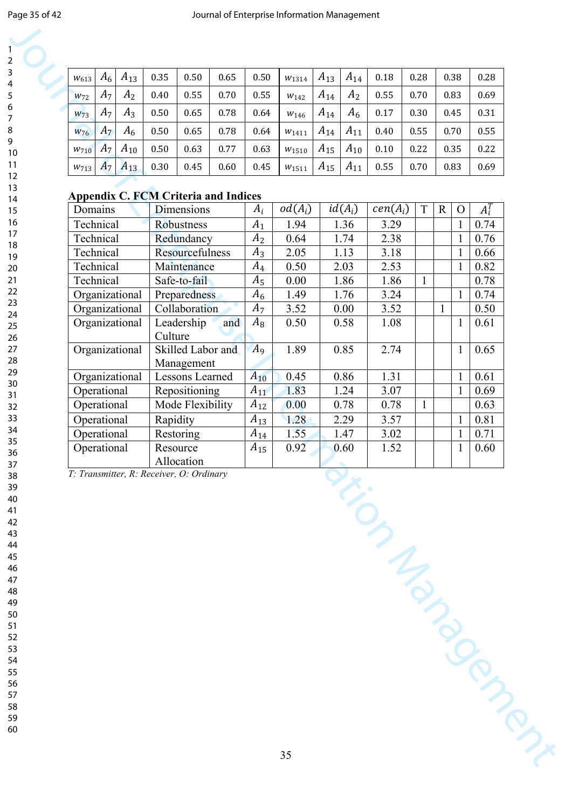| $W_{613}$        | $A_6$ | $A_{13}$       | 0.35 | 0.50 | 0.65 | 0.50 | $W_{1314}$       | $A_{13}$ | $A_{14}$       | 0.18 | 0.28 | 0.38 | 0.28 |
|------------------|-------|----------------|------|------|------|------|------------------|----------|----------------|------|------|------|------|
| $W_{72}$         | $A_7$ | A <sub>2</sub> | 0.40 | 0.55 | 0.70 | 0.55 | W <sub>142</sub> | $A_{14}$ | A <sub>2</sub> | 0.55 | 0.70 | 0.83 | 0.69 |
| $W_{73}$         | $A_7$ | $A_3$          | 0.50 | 0.65 | 0.78 | 0.64 | W <sub>146</sub> | $A_{14}$ | $A_6$          | 0.17 | 0.30 | 0.45 | 0.31 |
| $W_{76}$         | $A_7$ | $A_6$          | 0.50 | 0.65 | 0.78 | 0.64 | $W$ 1411         | $A_{14}$ | $A_{11}$       | 0.40 | 0.55 | 0.70 | 0.55 |
| W <sub>710</sub> |       | $A_7 A_{10}$   | 0.50 | 0.63 | 0.77 | 0.63 | W1510            | $A_{15}$ | $A_{10}$       | 0.10 | 0.22 | 0.35 | 0.22 |
| W713             | $A_7$ | $A_{13}$       | 0.30 | 0.45 | 0.60 | 0.45 | W1511            | $A_{15}$ | $A_{11}$       | 0.55 | 0.70 | 0.83 | 0.69 |

### **Appendix C. FCM Criteria and Indices**

| $A_7$<br>A <sub>2</sub><br>$W_{72}$   |                                                        |                |                  | $A_{13}$ | $A_{14}$       | $0.18\,$             | 0.28         | 0.38         |              | 0.28    |
|---------------------------------------|--------------------------------------------------------|----------------|------------------|----------|----------------|----------------------|--------------|--------------|--------------|---------|
|                                       | 0.55<br>0.40<br>0.70                                   | 0.55           | W <sub>142</sub> | $A_{14}$ | A <sub>2</sub> | 0.55                 | 0.70         |              | 0.83         | 0.69    |
| A <sub>7</sub><br>$A_3$<br>$W_{73}$   | 0.65<br>0.50<br>0.78                                   | 0.64           | W <sub>146</sub> | $A_{14}$ | $A_6$          | 0.17                 | 0.30         |              | 0.45         | 0.31    |
| $A_6$<br>$A_7$<br>$W_{76}$            | 0.65<br>0.78<br>0.50                                   | 0.64           | $W$ 1411         | $A_{14}$ | $A_{11}$       | 0.40                 | 0.55         |              | 0.70         | 0.55    |
| $A_{10}$<br>$A_7$<br>W <sub>710</sub> | 0.50<br>0.63<br>0.77                                   | 0.63           | $W$ 1510         | $A_{15}$ | $A_{10}$       | 0.10                 | 0.22         |              | 0.35         | 0.22    |
| $A_{13}$<br>$A_7$<br>W713             | 0.30<br>0.45<br>0.60                                   | 0.45           | W1511            | $A_{15}$ | $A_{11}$       | 0.55                 | 0.70         |              | 0.83         | 0.69    |
|                                       |                                                        |                |                  |          |                |                      |              |              |              |         |
|                                       | <b>Appendix C. FCM Criteria and Indices</b>            |                |                  |          |                |                      |              |              |              |         |
| Domains                               | Dimensions                                             | $A_i$          | $od(A_i)$        |          | $id(A_i)$      | cen(A <sub>i</sub> ) | $\mathbf T$  | $\mathbf R$  | $\mathbf{O}$ | $A_i^T$ |
| Technical                             | Robustness                                             | $A_1$          | 1.94             |          | 1.36           | 3.29                 |              |              | $\mathbf{1}$ | 0.74    |
| Technical                             | Redundancy                                             | A <sub>2</sub> | 0.64             |          | 1.74           | 2.38                 |              |              | $\mathbf{1}$ | 0.76    |
| Technical                             | Resourcefulness                                        | $A_3$          | 2.05             |          | 1.13           | 3.18                 |              |              | $\mathbf{1}$ | 0.66    |
| Technical                             | Maintenance                                            | $A_4$          | 0.50             |          | 2.03           | 2.53                 |              |              | $\mathbf{1}$ | 0.82    |
| Technical                             | Safe-to-fail                                           | $A_5$          | 0.00             |          | 1.86           | 1.86                 | $\mathbf{1}$ |              |              | 0.78    |
| Organizational                        | Preparedness                                           | $A_6$          | 1.49             |          | 1.76           | 3.24                 |              |              | $\mathbf{1}$ | 0.74    |
| Organizational                        | Collaboration                                          | $A_7$          | 3.52             |          | 0.00           | 3.52                 |              | $\mathbf{1}$ |              | 0.50    |
| Organizational                        | Leadership<br>and<br>Culture                           | $A_8$          | 0.50             |          | 0.58           | 1.08                 |              |              | $\mathbf{1}$ | 0.61    |
| Organizational                        | Skilled Labor and<br>Management                        | A <sub>9</sub> | 1.89             |          | 0.85           | 2.74                 |              |              | $\mathbf{1}$ | 0.65    |
| Organizational                        | Lessons Learned                                        | $A_{10}$       | 0.45             |          | 0.86           | 1.31                 |              |              | $\mathbf{1}$ | 0.61    |
| Operational                           | Repositioning                                          | $A_{11}$       | 1.83             |          | 1.24           | 3.07                 |              |              | $\mathbf{1}$ | 0.69    |
| Operational                           | Mode Flexibility                                       | $A_{12}$       | 0.00             |          | 0.78           | 0.78                 | $\mathbf{1}$ |              |              | 0.63    |
| Operational                           | Rapidity                                               | $A_{13}$       | 1.28             |          | 2.29           | 3.57                 |              |              | $\mathbf{1}$ | 0.81    |
| Operational                           | Restoring                                              | $A_{14}$       | 1.55             |          | 1.47           | 3.02                 |              |              | $\mathbf{1}$ | 0.71    |
| Operational                           | Resource                                               | $A_{15}$       | 0.92             |          | 0.60           | 1.52                 |              |              | $\mathbf{1}$ | 0.60    |
|                                       | Allocation<br>T: Transmitter, R: Receiver, O: Ordinary |                |                  |          |                |                      |              |              |              |         |
|                                       |                                                        |                |                  |          |                |                      |              |              |              |         |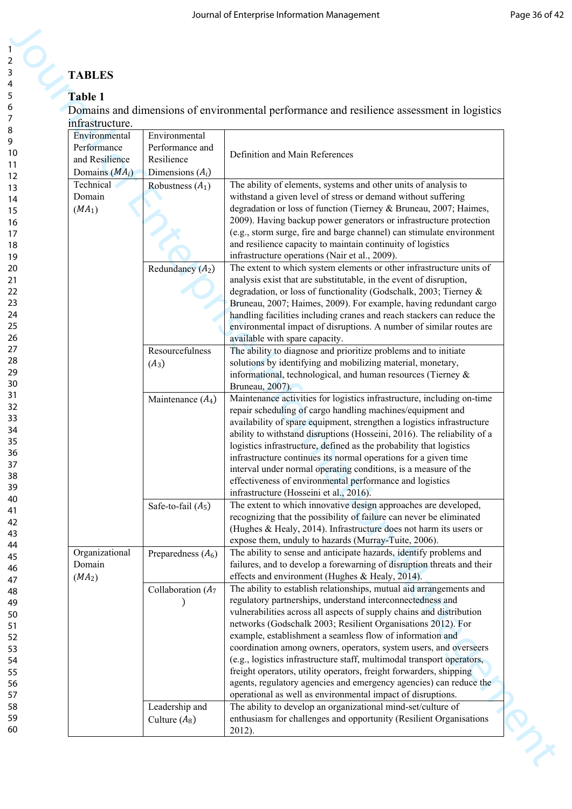# **TABLES**

# **Table 1**

| <b>TABLES</b>                |                       |                                                                                                                                              |
|------------------------------|-----------------------|----------------------------------------------------------------------------------------------------------------------------------------------|
| Table 1                      |                       |                                                                                                                                              |
|                              |                       | Domains and dimensions of environmental performance and resilience assessment in logistics                                                   |
| infrastructure.              |                       |                                                                                                                                              |
| Environmental                | Environmental         |                                                                                                                                              |
| Performance                  | Performance and       | Definition and Main References                                                                                                               |
| and Resilience               | Resilience            |                                                                                                                                              |
| Domains $(MA_i)$             | Dimensions $(A_i)$    |                                                                                                                                              |
| Technical<br>Domain          | Robustness $(A_1)$    | The ability of elements, systems and other units of analysis to<br>withstand a given level of stress or demand without suffering             |
| (MA <sub>1</sub> )           |                       | degradation or loss of function (Tierney & Bruneau, 2007; Haimes,                                                                            |
|                              |                       | 2009). Having backup power generators or infrastructure protection                                                                           |
|                              |                       | (e.g., storm surge, fire and barge channel) can stimulate environment                                                                        |
|                              |                       | and resilience capacity to maintain continuity of logistics                                                                                  |
|                              |                       | infrastructure operations (Nair et al., 2009).                                                                                               |
|                              | Redundancy $(A_2)$    | The extent to which system elements or other infrastructure units of                                                                         |
|                              |                       | analysis exist that are substitutable, in the event of disruption,<br>degradation, or loss of functionality (Godschalk, 2003; Tierney &      |
|                              |                       | Bruneau, 2007; Haimes, 2009). For example, having redundant cargo                                                                            |
|                              |                       | handling facilities including cranes and reach stackers can reduce the                                                                       |
|                              |                       | environmental impact of disruptions. A number of similar routes are                                                                          |
|                              |                       | available with spare capacity.                                                                                                               |
|                              | Resourcefulness       | The ability to diagnose and prioritize problems and to initiate                                                                              |
|                              | $(A_3)$               | solutions by identifying and mobilizing material, monetary,                                                                                  |
|                              |                       | informational, technological, and human resources (Tierney &<br>Bruneau, 2007).                                                              |
|                              | Maintenance $(A_4)$   | Maintenance activities for logistics infrastructure, including on-time                                                                       |
|                              |                       | repair scheduling of cargo handling machines/equipment and                                                                                   |
|                              |                       | availability of spare equipment, strengthen a logistics infrastructure                                                                       |
|                              |                       | ability to withstand disruptions (Hosseini, 2016). The reliability of a                                                                      |
|                              |                       | logistics infrastructure, defined as the probability that logistics                                                                          |
|                              |                       | infrastructure continues its normal operations for a given time                                                                              |
|                              |                       | interval under normal operating conditions, is a measure of the<br>effectiveness of environmental performance and logistics                  |
|                              |                       | infrastructure (Hosseini et al., 2016).                                                                                                      |
|                              | Safe-to-fail $(A_5)$  | The extent to which innovative design approaches are developed,                                                                              |
|                              |                       | recognizing that the possibility of failure can never be eliminated                                                                          |
|                              |                       | (Hughes & Healy, 2014). Infrastructure does not harm its users or                                                                            |
|                              |                       | expose them, unduly to hazards (Murray-Tuite, 2006).                                                                                         |
| Organizational               | Preparedness $(A_6)$  | The ability to sense and anticipate hazards, identify problems and                                                                           |
| Domain<br>(MA <sub>2</sub> ) |                       | failures, and to develop a forewarning of disruption threats and their<br>effects and environment (Hughes & Healy, 2014).                    |
|                              | Collaboration $(A_7)$ | The ability to establish relationships, mutual aid arrangements and                                                                          |
|                              |                       | regulatory partnerships, understand interconnectedness and                                                                                   |
|                              |                       | vulnerabilities across all aspects of supply chains and distribution                                                                         |
|                              |                       | networks (Godschalk 2003; Resilient Organisations 2012). For                                                                                 |
|                              |                       | example, establishment a seamless flow of information and                                                                                    |
|                              |                       | coordination among owners, operators, system users, and overseers                                                                            |
|                              |                       | (e.g., logistics infrastructure staff, multimodal transport operators,<br>freight operators, utility operators, freight forwarders, shipping |
|                              |                       | agents, regulatory agencies and emergency agencies) can reduce the                                                                           |
|                              |                       | operational as well as environmental impact of disruptions.                                                                                  |
|                              | Leadership and        | The ability to develop an organizational mind-set/culture of                                                                                 |
|                              | Culture $(A_8)$       | enthusiasm for challenges and opportunity (Resilient Organisations                                                                           |
|                              |                       | 2012).                                                                                                                                       |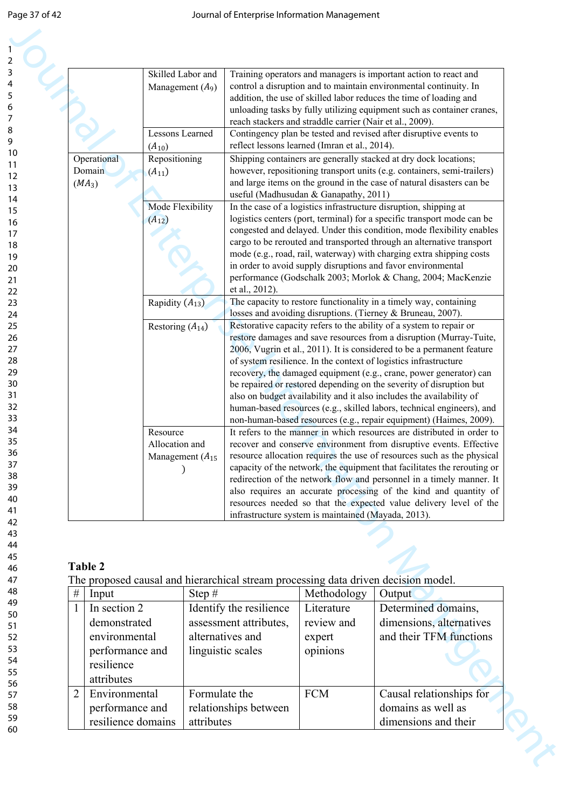|              |                                                                              | Skilled Labor and<br>Management $(A_9)$                                     |                             |                                                                 |                                                     | Training operators and managers is important action to react and<br>control a disruption and to maintain environmental continuity. In<br>addition, the use of skilled labor reduces the time of loading and<br>unloading tasks by fully utilizing equipment such as container cranes,<br>reach stackers and straddle carrier (Nair et al., 2009).                                                                                                                                                                                                                                                                                                                                                                                                                                                                                                                                                                                                                                                                                                                                                                                                                                    |
|--------------|------------------------------------------------------------------------------|-----------------------------------------------------------------------------|-----------------------------|-----------------------------------------------------------------|-----------------------------------------------------|--------------------------------------------------------------------------------------------------------------------------------------------------------------------------------------------------------------------------------------------------------------------------------------------------------------------------------------------------------------------------------------------------------------------------------------------------------------------------------------------------------------------------------------------------------------------------------------------------------------------------------------------------------------------------------------------------------------------------------------------------------------------------------------------------------------------------------------------------------------------------------------------------------------------------------------------------------------------------------------------------------------------------------------------------------------------------------------------------------------------------------------------------------------------------------------|
|              |                                                                              | <b>Lessons Learned</b><br>$(A_{10})$                                        |                             |                                                                 | reflect lessons learned (Imran et al., 2014).       | Contingency plan be tested and revised after disruptive events to                                                                                                                                                                                                                                                                                                                                                                                                                                                                                                                                                                                                                                                                                                                                                                                                                                                                                                                                                                                                                                                                                                                    |
|              | Operational<br>Domain<br>$(MA_3)$                                            | Repositioning<br>$(A_{11})$                                                 |                             |                                                                 | useful (Madhusudan & Ganapathy, 2011)               | Shipping containers are generally stacked at dry dock locations;<br>however, repositioning transport units (e.g. containers, semi-trailers)<br>and large items on the ground in the case of natural disasters can be                                                                                                                                                                                                                                                                                                                                                                                                                                                                                                                                                                                                                                                                                                                                                                                                                                                                                                                                                                 |
|              |                                                                              | Mode Flexibility<br>$(A_{12})$                                              |                             | et al., 2012).                                                  |                                                     | In the case of a logistics infrastructure disruption, shipping at<br>logistics centers (port, terminal) for a specific transport mode can be<br>congested and delayed. Under this condition, mode flexibility enables<br>cargo to be rerouted and transported through an alternative transport<br>mode (e.g., road, rail, waterway) with charging extra shipping costs<br>in order to avoid supply disruptions and favor environmental<br>performance (Godschalk 2003; Morlok & Chang, 2004; MacKenzie                                                                                                                                                                                                                                                                                                                                                                                                                                                                                                                                                                                                                                                                               |
|              |                                                                              | Rapidity $(A_{13})$                                                         |                             |                                                                 |                                                     | The capacity to restore functionality in a timely way, containing<br>losses and avoiding disruptions. (Tierney & Bruneau, 2007).                                                                                                                                                                                                                                                                                                                                                                                                                                                                                                                                                                                                                                                                                                                                                                                                                                                                                                                                                                                                                                                     |
|              |                                                                              | Restoring $(A_{14})$<br>Resource<br>Allocation and<br>Management $(A_{15})$ |                             |                                                                 | infrastructure system is maintained (Mayada, 2013). | Restorative capacity refers to the ability of a system to repair or<br>restore damages and save resources from a disruption (Murray-Tuite,<br>2006, Vugrin et al., 2011). It is considered to be a permanent feature<br>of system resilience. In the context of logistics infrastructure<br>recovery, the damaged equipment (e.g., crane, power generator) can<br>be repaired or restored depending on the severity of disruption but<br>also on budget availability and it also includes the availability of<br>human-based resources (e.g., skilled labors, technical engineers), and<br>non-human-based resources (e.g., repair equipment) (Haimes, 2009).<br>It refers to the manner in which resources are distributed in order to<br>recover and conserve environment from disruptive events. Effective<br>resource allocation requires the use of resources such as the physical<br>capacity of the network, the equipment that facilitates the rerouting or<br>redirection of the network flow and personnel in a timely manner. It<br>also requires an accurate processing of the kind and quantity of<br>resources needed so that the expected value delivery level of the |
|              | <b>Table 2</b>                                                               |                                                                             |                             |                                                                 |                                                     | The proposed causal and hierarchical stream processing data driven decision model.                                                                                                                                                                                                                                                                                                                                                                                                                                                                                                                                                                                                                                                                                                                                                                                                                                                                                                                                                                                                                                                                                                   |
| $\#$         | Input                                                                        |                                                                             | Step $#$                    |                                                                 | Methodology                                         | Output                                                                                                                                                                                                                                                                                                                                                                                                                                                                                                                                                                                                                                                                                                                                                                                                                                                                                                                                                                                                                                                                                                                                                                               |
| $\mathbf{1}$ | In section 2                                                                 |                                                                             |                             | Identify the resilience                                         | Literature                                          | Determined domains,                                                                                                                                                                                                                                                                                                                                                                                                                                                                                                                                                                                                                                                                                                                                                                                                                                                                                                                                                                                                                                                                                                                                                                  |
|              | demonstrated<br>environmental<br>performance and<br>resilience<br>attributes |                                                                             |                             | assessment attributes,<br>alternatives and<br>linguistic scales | review and<br>expert<br>opinions                    | dimensions, alternatives<br>and their TFM functions                                                                                                                                                                                                                                                                                                                                                                                                                                                                                                                                                                                                                                                                                                                                                                                                                                                                                                                                                                                                                                                                                                                                  |
| 2            | Environmental<br>performance and<br>resilience domains                       |                                                                             | Formulate the<br>attributes | relationships between                                           | <b>FCM</b>                                          | Causal relationships for<br>domains as well as<br>dimensions and their                                                                                                                                                                                                                                                                                                                                                                                                                                                                                                                                                                                                                                                                                                                                                                                                                                                                                                                                                                                                                                                                                                               |

# **Table 2**

| $\#$           | Input              | Step $#$                | Methodology | Output                   |
|----------------|--------------------|-------------------------|-------------|--------------------------|
|                | In section 2       | Identify the resilience | Literature  | Determined domains,      |
|                | demonstrated       | assessment attributes,  | review and  | dimensions, alternatives |
|                | environmental      | alternatives and        | expert      | and their TFM functions  |
|                | performance and    | linguistic scales       | opinions    |                          |
|                | resilience         |                         |             |                          |
|                | attributes         |                         |             |                          |
| $\overline{2}$ | Environmental      | Formulate the           | <b>FCM</b>  | Causal relationships for |
|                | performance and    | relationships between   |             | domains as well as       |
|                | resilience domains | attributes              |             | dimensions and their     |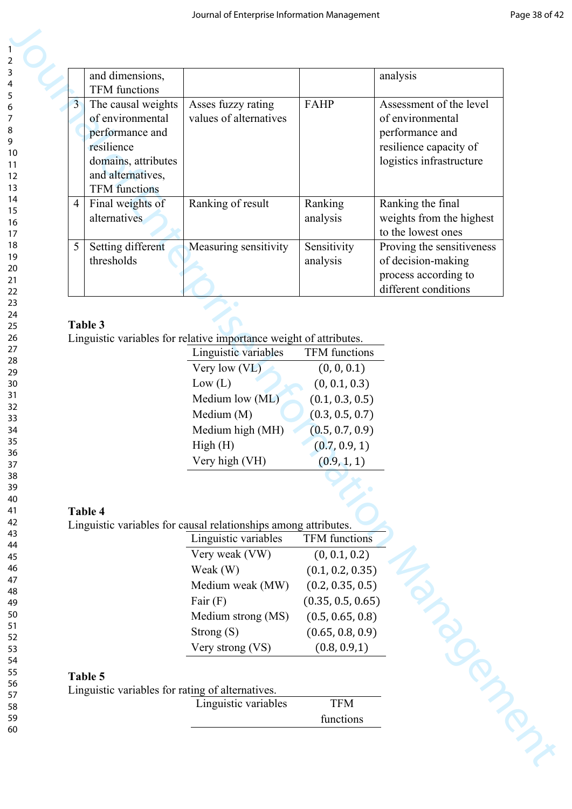| and dimensions,                    |                     |                                                                          |                      | analysis                  |
|------------------------------------|---------------------|--------------------------------------------------------------------------|----------------------|---------------------------|
| <b>TFM</b> functions               |                     |                                                                          |                      |                           |
| $\overline{3}$                     | The causal weights  | Asses fuzzy rating                                                       | <b>FAHP</b>          | Assessment of the level   |
| of environmental                   |                     | values of alternatives                                                   |                      | of environmental          |
| performance and                    |                     |                                                                          |                      | performance and           |
| resilience                         |                     |                                                                          |                      | resilience capacity of    |
|                                    | domains, attributes |                                                                          |                      | logistics infrastructure  |
| and alternatives,                  |                     |                                                                          |                      |                           |
| <b>TFM</b> functions               |                     |                                                                          |                      |                           |
| Final weights of<br>$\overline{4}$ |                     | Ranking of result                                                        | Ranking              | Ranking the final         |
| alternatives                       |                     |                                                                          | analysis             | weights from the highest  |
|                                    |                     |                                                                          |                      | to the lowest ones        |
| Setting different<br>5             |                     | Measuring sensitivity                                                    | Sensitivity          | Proving the sensitiveness |
| thresholds                         |                     |                                                                          | analysis             | of decision-making        |
|                                    |                     |                                                                          |                      | process according to      |
|                                    |                     |                                                                          |                      | different conditions      |
|                                    |                     |                                                                          |                      |                           |
| Table 3                            |                     |                                                                          |                      |                           |
|                                    |                     | Linguistic variables for relative importance weight of attributes.       |                      |                           |
|                                    |                     | Linguistic variables                                                     | TFM functions        |                           |
|                                    |                     | Very low (VL)                                                            | (0, 0, 0.1)          |                           |
|                                    |                     | Low (L)                                                                  | (0, 0.1, 0.3)        |                           |
|                                    |                     | Medium low (ML)                                                          | (0.1, 0.3, 0.5)      |                           |
|                                    |                     | Medium (M)                                                               | (0.3, 0.5, 0.7)      |                           |
|                                    |                     | Medium high (MH)                                                         | (0.5, 0.7, 0.9)      |                           |
|                                    |                     | High(H)                                                                  | (0.7, 0.9, 1)        |                           |
|                                    |                     | Very high (VH)                                                           | (0.9, 1, 1)          |                           |
|                                    |                     |                                                                          |                      |                           |
|                                    |                     |                                                                          |                      |                           |
| Table 4                            |                     |                                                                          |                      |                           |
|                                    |                     | Linguistic variables for causal relationships among attributes.          |                      |                           |
|                                    |                     | Linguistic variables                                                     | <b>TFM</b> functions |                           |
|                                    |                     | Very weak (VW)                                                           | (0, 0.1, 0.2)        |                           |
|                                    |                     | Weak (W)                                                                 | (0.1, 0.2, 0.35)     |                           |
|                                    |                     | Medium weak (MW)                                                         | (0.2, 0.35, 0.5)     |                           |
|                                    |                     |                                                                          |                      |                           |
|                                    |                     |                                                                          |                      |                           |
|                                    |                     | Fair $(F)$                                                               | (0.35, 0.5, 0.65)    |                           |
|                                    |                     | Medium strong (MS)                                                       | (0.5, 0.65, 0.8)     |                           |
|                                    |                     | Strong $(S)$                                                             | (0.65, 0.8, 0.9)     |                           |
|                                    |                     | Very strong (VS)                                                         | (0.8, 0.9, 1)        |                           |
|                                    |                     |                                                                          |                      |                           |
|                                    |                     |                                                                          |                      |                           |
| Table 5                            |                     | Linguistic variables for rating of alternatives.<br>Linguistic variables | <b>TFM</b>           |                           |

# **Table 3**

| Linguistic variables | <b>TFM</b> functions |
|----------------------|----------------------|
| Very low (VL)        | (0, 0, 0.1)          |
| Low (L)              | (0, 0.1, 0.3)        |
| Medium low (ML)      | (0.1, 0.3, 0.5)      |
| Medium (M)           | (0.3, 0.5, 0.7)      |
| Medium high (MH)     | (0.5, 0.7, 0.9)      |
| High(H)              | (0.7, 0.9, 1)        |
| Very high (VH)       | (0.9, 1, 1)          |

# **Table 4**

| Linguistic variables | <b>TFM</b> functions |
|----------------------|----------------------|
| Very weak (VW)       | (0, 0.1, 0.2)        |
| Weak (W)             | (0.1, 0.2, 0.35)     |
| Medium weak (MW)     | (0.2, 0.35, 0.5)     |
| Fair $(F)$           | (0.35, 0.5, 0.65)    |
| Medium strong (MS)   | (0.5, 0.65, 0.8)     |
| Strong $(S)$         | (0.65, 0.8, 0.9)     |
| Very strong (VS)     | (0.8, 0.9, 1)        |

# **Table 5**

| Linguistic variables for rating of alternatives. |            |
|--------------------------------------------------|------------|
| Linguistic variables                             | <b>TFM</b> |
|                                                  | functions  |

59 60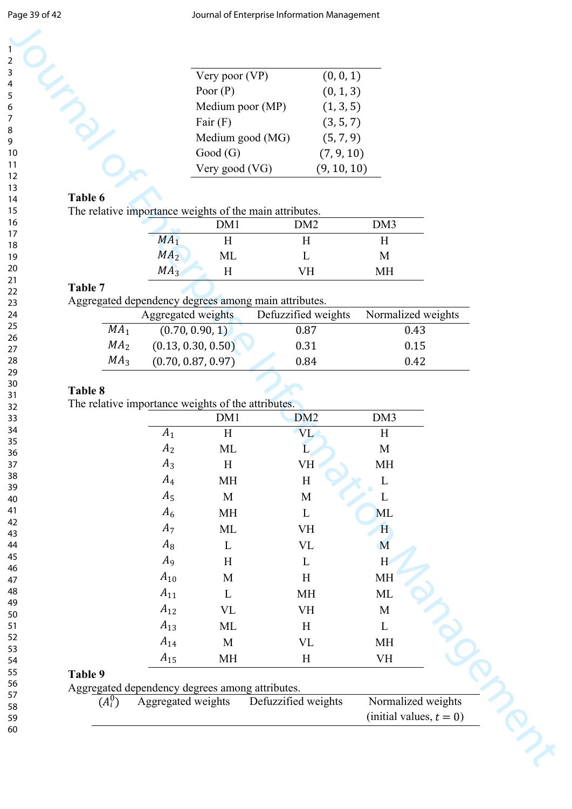| Very poor $(VP)$ | (0, 0, 1)   |
|------------------|-------------|
| Poor $(P)$       | (0, 1, 3)   |
| Medium poor (MP) | (1, 3, 5)   |
| Fair $(F)$       | (3, 5, 7)   |
| Medium good (MG) | (5, 7, 9)   |
| Good(G)          | (7, 9, 10)  |
| Very good (VG)   | (9, 10, 10) |

## **Table 6**

| л. | ຼ               | DM1 | DM2 | DM3 |  |
|----|-----------------|-----|-----|-----|--|
|    | $MA_1$          | Н   | Н   |     |  |
|    | MA <sub>2</sub> | МL  |     | М   |  |
|    | MA <sub>3</sub> | Н   | VH  | MН  |  |

## **Table 7**

Aggregated dependency degrees among main attributes.

| ັ               |                    |                     |                    |
|-----------------|--------------------|---------------------|--------------------|
|                 | Aggregated weights | Defuzzified weights | Normalized weights |
| MA <sub>1</sub> | (0.70, 0.90, 1)    | 0.87                | 0.43               |
| MA <sub>2</sub> | (0.13, 0.30, 0.50) | 0.31                | 0.15               |
| MA <sub>3</sub> | (0.70, 0.87, 0.97) | 0.84                | 0.42               |

### **Table 8**

|                      |                    | Very poor (VP)                                            | (0, 0, 1)                |                    |
|----------------------|--------------------|-----------------------------------------------------------|--------------------------|--------------------|
|                      |                    | Poor $(P)$                                                | (0, 1, 3)                |                    |
|                      |                    | Medium poor (MP)                                          | (1, 3, 5)                |                    |
|                      |                    | Fair $(F)$                                                | (3, 5, 7)                |                    |
|                      |                    | Medium good (MG)                                          | (5, 7, 9)                |                    |
|                      |                    | Good(G)                                                   | (7, 9, 10)               |                    |
|                      |                    | Very good (VG)                                            | (9, 10, 10)              |                    |
| Table 6              |                    |                                                           |                          |                    |
|                      |                    | The relative importance weights of the main attributes.   |                          |                    |
|                      |                    | DM1                                                       | DM <sub>2</sub>          | DM3                |
|                      | $\overline{MA}_1$  | H                                                         | H                        | H                  |
|                      | MA <sub>2</sub>    | ML                                                        | L                        | M                  |
|                      | MA <sub>3</sub>    | H                                                         | VH                       | MH                 |
| Table 7              |                    |                                                           |                          |                    |
|                      |                    | Aggregated dependency degrees among main attributes.      |                          |                    |
|                      | Aggregated weights |                                                           | Defuzzified weights      | Normalized weights |
| MA <sub>1</sub>      |                    | (0.70, 0.90, 1)                                           | 0.87                     | 0.43               |
| MA <sub>2</sub>      |                    | (0.13, 0.30, 0.50)                                        | 0.31                     | 0.15               |
| MA <sub>3</sub>      |                    | (0.70, 0.87, 0.97)                                        | 0.84                     | 0.42               |
|                      |                    | The relative importance weights of the attributes.<br>DM1 | DM <sub>2</sub>          | DM3                |
|                      | $A_1$              | H                                                         | VL                       | H                  |
|                      | A <sub>2</sub>     | ML                                                        | L                        | M                  |
|                      | $A_3$              | H                                                         | VH                       | <b>MH</b>          |
|                      | $A_4$              | <b>MH</b>                                                 | H                        | L                  |
|                      | $A_5$              | M                                                         | M                        | L                  |
|                      | $A_6$              | <b>MH</b>                                                 | $\mathbf{L}$             | ML                 |
|                      | $A_7$              | ML                                                        | <b>VH</b>                | H                  |
|                      | $A_8$              | L                                                         | $\ensuremath{\text{VL}}$ | M                  |
|                      | $A_9$              | H                                                         | $\Gamma$                 | H                  |
|                      | $A_{10}$           | M                                                         | H                        | <b>MH</b>          |
|                      | $A_{11}$           | L                                                         | MH                       | ML                 |
|                      | $A_{12}$           | <b>VL</b>                                                 | <b>VH</b>                | M                  |
|                      | $A_{13}$           | ML                                                        | H                        | $\mathbf{L}$       |
|                      | $A_{14}$           | M                                                         | <b>VL</b>                | <b>MH</b>          |
|                      |                    |                                                           | H                        | <b>VH</b>          |
|                      | $A_{15}$           | <b>MH</b>                                                 |                          |                    |
|                      |                    |                                                           |                          |                    |
| Table 9<br>$(A_i^0)$ | Aggregated weights | Aggregated dependency degrees among attributes.           | Defuzzified weights      | Normalized weights |

# **Table 9**

| Aggregated dependency degrees among attributes. |  |  |
|-------------------------------------------------|--|--|
|                                                 |  |  |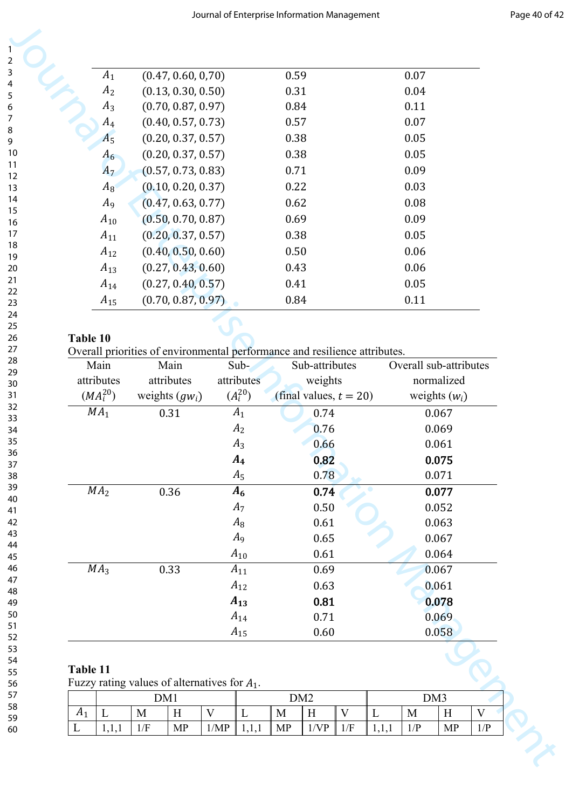| $A_1$          | (0.47, 0.60, 0.70) | 0.59 | 0.07 |
|----------------|--------------------|------|------|
| A <sub>2</sub> | (0.13, 0.30, 0.50) | 0.31 | 0.04 |
| $A_3$          | (0.70, 0.87, 0.97) | 0.84 | 0.11 |
| $A_4$          | (0.40, 0.57, 0.73) | 0.57 | 0.07 |
| A <sub>5</sub> | (0.20, 0.37, 0.57) | 0.38 | 0.05 |
| $A_6$          | (0.20, 0.37, 0.57) | 0.38 | 0.05 |
| $A_7$          | (0.57, 0.73, 0.83) | 0.71 | 0.09 |
| $A_8$          | (0.10, 0.20, 0.37) | 0.22 | 0.03 |
| A <sub>9</sub> | (0.47, 0.63, 0.77) | 0.62 | 0.08 |
| $A_{10}$       | (0.50, 0.70, 0.87) | 0.69 | 0.09 |
| $A_{11}$       | (0.20, 0.37, 0.57) | 0.38 | 0.05 |
| $A_{12}$       | (0.40, 0.50, 0.60) | 0.50 | 0.06 |
| $A_{13}$       | (0.27, 0.43, 0.60) | 0.43 | 0.06 |
| $A_{14}$       | (0.27, 0.40, 0.57) | 0.41 | 0.05 |
| $A_{15}$       | (0.70, 0.87, 0.97) | 0.84 | 0.11 |

#### **Table 10**

Overall priorities of environmental performance and resilience attributes.

| Table 11 |                      |                                                                            |  | $A_{15}$       |              | 0.60                                 |  |                 |                        | 0.058          |  |
|----------|----------------------|----------------------------------------------------------------------------|--|----------------|--------------|--------------------------------------|--|-----------------|------------------------|----------------|--|
|          |                      |                                                                            |  |                |              |                                      |  |                 |                        |                |  |
|          |                      |                                                                            |  |                |              |                                      |  |                 |                        |                |  |
|          |                      |                                                                            |  | $A_{14}$       |              | 0.71                                 |  |                 |                        | 0.069          |  |
|          |                      |                                                                            |  | $A_{13}$       |              | 0.81                                 |  |                 |                        | 0.078          |  |
|          |                      |                                                                            |  | $A_{12}$       |              | 0.63                                 |  |                 |                        | 0.061          |  |
|          | MA <sub>3</sub>      | 0.33                                                                       |  | $A_{11}$       |              | 0.69                                 |  |                 |                        | 0.067          |  |
|          |                      |                                                                            |  | $A_{10}$       |              | 0.61                                 |  |                 |                        | 0.064          |  |
|          |                      |                                                                            |  | $A_9$          |              | 0.65                                 |  |                 |                        | 0.067          |  |
|          |                      |                                                                            |  | $A_7$<br>$A_8$ |              | 0.50<br>0.61                         |  |                 |                        | 0.052<br>0.063 |  |
|          | MA <sub>2</sub>      | 0.36                                                                       |  | A <sub>6</sub> |              | 0.74                                 |  |                 |                        | 0.077          |  |
|          |                      |                                                                            |  | $A_5$          |              | 0.78                                 |  |                 |                        | 0.071          |  |
|          |                      |                                                                            |  | $A_4$          |              | 0.82                                 |  |                 |                        | 0.075          |  |
|          |                      |                                                                            |  | $A_3$          |              | 0.66                                 |  |                 |                        | 0.061          |  |
|          |                      |                                                                            |  | A <sub>2</sub> |              | 0.76                                 |  |                 |                        | 0.069          |  |
|          | MA <sub>1</sub>      | 0.31                                                                       |  | $A_1$          |              | 0.74                                 |  |                 |                        | 0.067          |  |
|          | $(MA_i^{20})$        | weights $(gw_i)$                                                           |  | $(A_i^{20})$   |              |                                      |  | weights $(w_i)$ |                        |                |  |
|          | attributes           | attributes                                                                 |  | attributes     |              | weights<br>(final values, $t = 20$ ) |  |                 |                        | normalized     |  |
|          | Main                 | Main                                                                       |  | Sub-           |              | Sub-attributes                       |  |                 | Overall sub-attributes |                |  |
| Table 10 |                      | Overall priorities of environmental performance and resilience attributes. |  |                |              |                                      |  |                 |                        |                |  |
|          |                      |                                                                            |  |                |              |                                      |  |                 |                        |                |  |
|          | $A_{15}$             | (0.70, 0.87, 0.97)                                                         |  |                | 0.84         |                                      |  |                 | 0.11                   |                |  |
|          | $A_{14}$             | (0.27, 0.40, 0.57)                                                         |  |                | 0.41         |                                      |  |                 | 0.05                   |                |  |
|          | $A_{13}$             | (0.27, 0.43, 0.60)                                                         |  |                | 0.43         |                                      |  |                 | 0.06                   |                |  |
|          |                      |                                                                            |  |                |              |                                      |  |                 |                        |                |  |
|          | $A_{11}$<br>$A_{12}$ | (0.20, 0.37, 0.57)<br>(0.40, 0.50, 0.60)                                   |  |                | 0.38<br>0.50 |                                      |  |                 | 0.06                   |                |  |
|          | $A_{10}$             | (0.50, 0.70, 0.87)                                                         |  |                | 0.69         |                                      |  |                 | 0.09<br>0.05           |                |  |
|          | A <sub>9</sub>       | (0.47, 0.63, 0.77)                                                         |  |                | 0.62         |                                      |  |                 | 0.08                   |                |  |
|          | $A_8$                | (0.10, 0.20, 0.37)                                                         |  |                | 0.22         |                                      |  |                 | 0.03                   |                |  |
|          | $A_7$                | (0.57, 0.73, 0.83)                                                         |  |                | 0.71         |                                      |  |                 | 0.09                   |                |  |
|          | $A_6$                | (0.20, 0.37, 0.57)                                                         |  |                | 0.38         |                                      |  |                 | 0.05                   |                |  |
|          | A <sub>5</sub>       | (0.20, 0.37, 0.57)                                                         |  |                | 0.38         |                                      |  |                 | 0.05                   |                |  |
|          | $A_4$                | (0.40, 0.57, 0.73)                                                         |  |                | 0.57         |                                      |  |                 | 0.07                   |                |  |
|          | $A_3$                | (0.70, 0.87, 0.97)                                                         |  | 0.84           |              |                                      |  | 0.11            |                        |                |  |
|          | A <sub>2</sub>       | (0.13, 0.30, 0.50)                                                         |  | 0.31           |              |                                      |  | 0.04            |                        |                |  |
|          | $A_1$                | (0.47, 0.60, 0.70)                                                         |  |                | 0.59         |                                      |  |                 | 0.07                   |                |  |

## **Table 11**

| Fuzzy rating values of alternatives for $A_1$ . |  |
|-------------------------------------------------|--|
|-------------------------------------------------|--|

|              |                                      | DM1              |                 | DM <sub>2</sub> |          |    |                     | DM <sub>3</sub> |   |     |                    |                       |
|--------------|--------------------------------------|------------------|-----------------|-----------------|----------|----|---------------------|-----------------|---|-----|--------------------|-----------------------|
| $H^{\prime}$ | $\overline{\phantom{a}}$<br><b>.</b> | M                | <b>YY</b><br>ŦŦ | $\mathbf{v}$    | <u>.</u> | M  | $-$<br>$\mathbf{r}$ | - -             |   | M   | $\mathbf{v}$<br>** | $\tilde{\phantom{a}}$ |
|              | .                                    | $/\Gamma$<br>1/1 | <b>MP</b>       | /MP             | .        | MP | /V/P                | 1/F             | . | 1/P | <b>MP</b>          | $\blacksquare$        |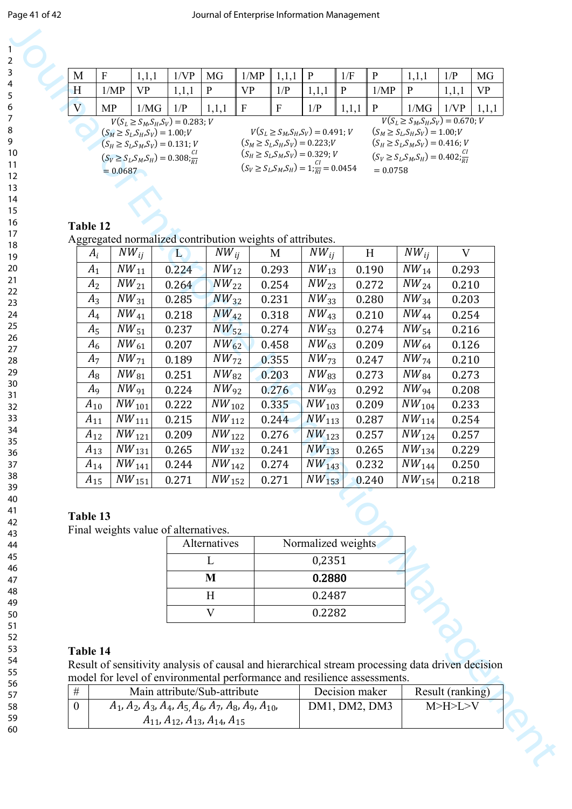| M                                               | F         | 1,1,1                                  | 1/VP  | MG    | 1/MP                                                                                        |             | P     | 1/F          |                                                  | 1,1,1                                  | 1/P   | <b>MG</b> |
|-------------------------------------------------|-----------|----------------------------------------|-------|-------|---------------------------------------------------------------------------------------------|-------------|-------|--------------|--------------------------------------------------|----------------------------------------|-------|-----------|
| H                                               | 1/MP      | VP                                     | 1,1,1 | P     | <b>VP</b>                                                                                   | 1/P         | 1,1,1 | $\mathbf{P}$ | 1/MP                                             | P                                      | 1,1,1 | VP        |
| V                                               | <b>MP</b> | 1/MG                                   | 1/P   | 1,1,1 | $\mathbf{F}$                                                                                | $\mathbf F$ | 1/P   | 1,1,1        | ∥ P                                              | 1/MG                                   | 1/VP  |           |
|                                                 |           | $V(S_L \geq S_M, S_H, S_V) = 0.283; V$ |       |       |                                                                                             |             |       |              |                                                  | $V(S_L \geq S_M, S_H, S_V) = 0.670; V$ |       |           |
| $(S_M \ge S_L, S_H, S_V) = 1.00; V$             |           |                                        |       |       | $V(S_L \geq S_M, S_H, S_V) = 0.491; V$                                                      |             |       |              | $(S_M \ge S_L, S_H, S_V) = 1.00; V$              |                                        |       |           |
| $(S_H \ge S_L, S_M, S_V) = 0.131; V$            |           |                                        |       |       | $(S_M \geq S_L S_H S_V) = 0.223; V$<br>$(S_H \ge S_L S_M S_V) = 0.416; V$                   |             |       |              |                                                  |                                        |       |           |
| $(S_V \ge S_L, S_M, S_H) = 0.308 \frac{CI}{RI}$ |           |                                        |       |       | $(S_H \ge S_L S_M S_V) = 0.329; V$<br>$(S_V \ge S_L, S_M, S_H) = 1; \frac{Cl}{Pl} = 0.0454$ |             |       |              | $(S_V \ge S_L, S_M, S_H) = 0.402 \frac{CI}{P_I}$ |                                        |       |           |
| $= 0.0687$                                      |           |                                        |       |       |                                                                                             |             |       |              | $= 0.0758$                                       |                                        |       |           |
|                                                 |           |                                        |       |       |                                                                                             |             |       |              |                                                  |                                        |       |           |

### **Table 12**

| M            | $\boldsymbol{\mathrm{F}}$ | 1,1,1                                                                                            | 1/VP                                                 | MG                     | 1/MP                      | 1,1,1                                                                                      | $\mathbf{P}$                                                                   | 1/F          | $\mathbf{P}$     | 1,1,1                                                                       | 1/P          | MG        |
|--------------|---------------------------|--------------------------------------------------------------------------------------------------|------------------------------------------------------|------------------------|---------------------------|--------------------------------------------------------------------------------------------|--------------------------------------------------------------------------------|--------------|------------------|-----------------------------------------------------------------------------|--------------|-----------|
| H            | 1/MP                      | <b>VP</b>                                                                                        | 1,1,1                                                | $\mathbf{P}$           | <b>VP</b>                 | 1/P                                                                                        | 1,1,1                                                                          | $\mathbf{P}$ | 1/MP             | $\mathbf{P}$                                                                | 1,1,1        | <b>VP</b> |
| V            | <b>MP</b>                 | 1/MG                                                                                             | 1/P                                                  | 1,1,1                  | $\boldsymbol{\mathrm{F}}$ | $\mathbf{F}$                                                                               | 1/P                                                                            | 1,1,1        | P                | 1/MG                                                                        | 1/VP         | 1,1,1     |
|              |                           | $V(S_L \geq S_M, S_H, S_V) = 0.283; V$                                                           |                                                      |                        |                           |                                                                                            |                                                                                |              |                  | $V(S_L \geq S_M, S_H, S_V) = 0.670; V$                                      |              |           |
|              |                           | $(S_M \ge S_L, S_H, S_V) = 1.00; V$<br>$(S_H \ge S_L, S_M, S_V) = 0.131; V$                      |                                                      |                        |                           |                                                                                            | $V(S_L \geq S_M, S_H, S_V) = 0.491; V$<br>$(S_M \ge S_L, S_H, S_V) = 0.223; V$ |              |                  | $(S_M \ge S_L, S_H, S_V) = 1.00; V$<br>$(S_H \ge S_L, S_M, S_V) = 0.416; V$ |              |           |
|              |                           | $(S_V \ge S_L, S_M, S_H) = 0.308$ ; $\frac{CI}{RI}$                                              |                                                      |                        |                           |                                                                                            | $(S_H \ge S_L, S_M, S_V) = 0.329; V$                                           |              |                  | $(S_V \ge S_L, S_M, S_H) = 0.402 \frac{CI}{R}$                              |              |           |
|              | $= 0.0687$                |                                                                                                  |                                                      |                        |                           |                                                                                            | $(S_V \ge S_L, S_M, S_H) = 1 \frac{Cl}{R} = 0.0454$                            |              | $= 0.0758$       |                                                                             |              |           |
|              |                           |                                                                                                  |                                                      |                        |                           |                                                                                            |                                                                                |              |                  |                                                                             |              |           |
|              |                           |                                                                                                  |                                                      |                        |                           |                                                                                            |                                                                                |              |                  |                                                                             |              |           |
|              |                           |                                                                                                  |                                                      |                        |                           |                                                                                            |                                                                                |              |                  |                                                                             |              |           |
| Table 12     |                           | Aggregated normalized contribution weights of attributes.                                        |                                                      |                        |                           |                                                                                            |                                                                                |              |                  |                                                                             |              |           |
|              | $A_i$                     | $NW_{ij}$                                                                                        | $\bf L$                                              | $\overline{NW}_{ij}$   |                           | M                                                                                          | $NW_{ii}$                                                                      |              | H                | $\overline{NW}_{ij}$                                                        | $\mathbf{V}$ |           |
|              | $A_1$                     | $\overline{NW}_{11}$                                                                             | 0.224                                                | $NW_{12}$              |                           | 0.293                                                                                      | $\overline{NW}_{13}$                                                           |              | 0.190            | $\overline{NW}_{14}$                                                        | 0.293        |           |
|              | A <sub>2</sub>            | $NW_{21}$                                                                                        | 0.264                                                | $NW_{22}$              |                           | 0.254                                                                                      | $NW_{23}$                                                                      |              | 0.272            | NW <sub>24</sub>                                                            | 0.210        |           |
|              | $A_3$                     | $\overline{NW}_{31}$                                                                             | 0.285                                                | $NW_{32}$              |                           | 0.231                                                                                      | $NW_{33}$                                                                      |              | 0.280            | $\overline{NW_{34}}$                                                        | 0.203        |           |
|              | $A_4$                     | $NW_{41}$                                                                                        | 0.218                                                | $NW_{42}$              |                           | 0.318                                                                                      | $NW_{43}$                                                                      |              | 0.210            | $NW_{44}$                                                                   | 0.254        |           |
|              | $A_5$                     | $NW_{51}$                                                                                        | 0.237                                                | $NW_{52}$              |                           | 0.274                                                                                      | $NW_{53}$                                                                      |              | 0.274            | $\overline{NW_{54}}$                                                        | 0.216        |           |
|              | $A_6$                     | $NW_{61}$                                                                                        | 0.207                                                | $NW_{62}$              |                           | 0.458                                                                                      | $NW_{63}$                                                                      |              | 0.209            | $\overline{N}W_{64}$                                                        | 0.126        |           |
|              | $A_7$                     | $NW_{71}$                                                                                        | 0.189                                                | $NW_{72}$              |                           | 0.355                                                                                      | $NW_{73}$                                                                      |              | 0.247            | $NW_{74}$                                                                   | 0.210        |           |
|              | $A_8$                     | $NW_{81}$                                                                                        | 0.251                                                | $\overline{NW_{82}}$   |                           | 0.203                                                                                      | $NW_{83}$                                                                      |              | 0.273            | $\overline{NW_{84}}$                                                        | 0.273        |           |
|              | A <sub>9</sub>            | $NW_{91}$                                                                                        | 0.224                                                | $NW_{92}$              |                           | 0.276                                                                                      | $NW_{93}$                                                                      |              | 0.292            | $NW_{94}$                                                                   | 0.208        |           |
|              | $A_{10}$                  | NW <sub>101</sub>                                                                                | 0.222                                                | NW <sub>102</sub>      |                           | 0.335                                                                                      | NW <sub>103</sub>                                                              |              | 0.209            | NW <sub>104</sub>                                                           | 0.233        |           |
|              | $A_{11}$                  | $\overline{N}W_{111}$                                                                            | 0.215                                                | $\overline{NW}_{112}$  |                           | 0.244                                                                                      | $NW_{113}$                                                                     |              | 0.287            | $NW_{114}$                                                                  | 0.254        |           |
|              | $A_{12}$                  | $NW_{121}$                                                                                       | 0.209                                                | NW <sub>122</sub>      |                           | 0.276                                                                                      | $NW_{123}$                                                                     |              | 0.257            | NW <sub>124</sub>                                                           | 0.257        |           |
|              | $A_{13}$                  | $\overline{NW}_{131}$                                                                            | 0.265                                                | $\overline{NW}_{1,32}$ |                           | 0.241                                                                                      | $\overline{NW}_{133}$                                                          |              | 0.265            | $\overline{NW}_{134}$                                                       | 0.229        |           |
|              | $A_{14}$                  | $\it NW_{141}$                                                                                   | 0.244                                                | NW <sub>142</sub>      |                           | 0.274                                                                                      | NW <sub>143</sub>                                                              |              | 0.232            | NW <sub>144</sub>                                                           | 0.250        |           |
|              | $A_{15}$                  | $NW_{151}$                                                                                       | 0.271                                                | $NW_{152}$             |                           | 0.271                                                                                      | $NW_{153}$                                                                     |              | 0.240            | NW <sub>154</sub>                                                           | 0.218        |           |
|              |                           |                                                                                                  |                                                      |                        |                           |                                                                                            |                                                                                |              |                  |                                                                             |              |           |
| Table 13     |                           |                                                                                                  |                                                      |                        |                           |                                                                                            |                                                                                |              |                  |                                                                             |              |           |
|              |                           | Final weights value of alternatives.                                                             |                                                      |                        |                           |                                                                                            |                                                                                |              |                  |                                                                             |              |           |
|              |                           |                                                                                                  |                                                      | Alternatives           |                           |                                                                                            | Normalized weights                                                             |              |                  |                                                                             |              |           |
|              |                           |                                                                                                  |                                                      | L                      |                           | 0,2351                                                                                     |                                                                                |              |                  |                                                                             |              |           |
|              |                           |                                                                                                  |                                                      | M                      |                           |                                                                                            | 0.2880                                                                         |              |                  |                                                                             |              |           |
|              |                           |                                                                                                  |                                                      | H                      |                           |                                                                                            | 0.2487                                                                         |              |                  |                                                                             |              |           |
|              |                           |                                                                                                  |                                                      | V                      |                           |                                                                                            | 0.2282                                                                         |              |                  |                                                                             |              |           |
|              |                           |                                                                                                  |                                                      |                        |                           |                                                                                            |                                                                                |              |                  |                                                                             |              |           |
|              |                           |                                                                                                  |                                                      |                        |                           |                                                                                            |                                                                                |              |                  |                                                                             |              |           |
| Table 14     |                           |                                                                                                  |                                                      |                        |                           |                                                                                            |                                                                                |              |                  |                                                                             |              |           |
|              |                           | Result of sensitivity analysis of causal and hierarchical stream processing data driven decision |                                                      |                        |                           |                                                                                            |                                                                                |              |                  |                                                                             |              |           |
| #            |                           | Main attribute/Sub-attribute                                                                     |                                                      |                        |                           | model for level of environmental performance and resilience assessments.<br>Decision maker |                                                                                |              | Result (ranking) |                                                                             |              |           |
| $\mathbf{0}$ |                           | $A_1$ , $A_2$ , $A_3$ , $A_4$ , $A_5$ , $A_6$ , $A_7$ , $A_8$ , $A_9$ , $A_{10}$ ,               |                                                      |                        |                           |                                                                                            | DM1, DM2, DM3                                                                  |              |                  | M>H>L>V                                                                     |              |           |
|              |                           |                                                                                                  | $A_{11}$ , $A_{12}$ , $A_{13}$ , $A_{14}$ , $A_{15}$ |                        |                           |                                                                                            |                                                                                |              |                  |                                                                             |              |           |

# **Table 13**

| of alternatives. |                    |
|------------------|--------------------|
| Alternatives     | Normalized weights |
|                  | 0,2351             |
| M                | 0.2880             |
| H                | 0.2487             |
|                  | 0.2282             |

### **Table 14**

| Main attribute/Sub-attribute                                                       | Decision maker | Result (ranking) |
|------------------------------------------------------------------------------------|----------------|------------------|
| $A_1$ , $A_2$ , $A_3$ , $A_4$ , $A_5$ , $A_6$ , $A_7$ , $A_8$ , $A_9$ , $A_{10}$ , | DM1, DM2, DM3  | M>H>L>V          |
| $A_{11}$ , $A_{12}$ , $A_{13}$ , $A_{14}$ , $A_{15}$                               |                |                  |